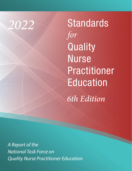# *2022*

*6th Edition* Standards *for* **Quality Nurse** Practitioner Education

*A Report of the National Task Force on Quality Nurse Practitioner Education*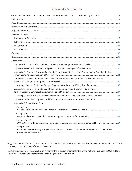# Table of Contents

| <b>Standard Chapters</b>                                                                                                      |    |
|-------------------------------------------------------------------------------------------------------------------------------|----|
|                                                                                                                               |    |
|                                                                                                                               |    |
|                                                                                                                               |    |
|                                                                                                                               |    |
|                                                                                                                               |    |
|                                                                                                                               |    |
|                                                                                                                               |    |
|                                                                                                                               |    |
|                                                                                                                               |    |
| Appendix C - Common Advanced Practice Registered Nurse Doctoral-Level Competencies, Domain 1, Patient,                        |    |
| Appendix D - General Information and Guidelines to Conduct and Document a Curriculum Analysis                                 |    |
|                                                                                                                               |    |
| Appendix E - General Information and Guidelines to Conduct and Document a Gap Analysis                                        |    |
| . Sample Form B - Gap Analysis Documentation Form for NP Post-Graduate Certificate Programs  45                               |    |
|                                                                                                                               |    |
| Appendix G: Other Sample Forms                                                                                                |    |
| • Sample Form C                                                                                                               | 52 |
| • Sample Form D                                                                                                               |    |
| • Sample Form E<br>NP Faculty Profile demonstrates how a program can document satisfaction of Criterion I.F. and II.C54       |    |
| • Sample Form F<br>Clinical Experiences (Faculty/Preceptor) Checklists can be used to track communication between faculty and |    |

Suggested citation: National Task Force. (2022). *Standards for quality nurse practitioner education, A report of the national task force on quality nurse practitioner education, 6th Edition*

Electronic document will be available from many of the organizations represented on the National Task Force on Quality Nurse Practitioner Education and organizations endorsing the evaluation criteria.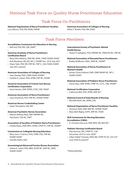# <span id="page-2-0"></span>National Task Force on Quality Nurse Practitioner Education

## Task Force Co-Facilitators

#### **National Organization of Nurse Practitioner Faculties** Lucy Marion, PhD, RN, FAAN, FAANP

**American Association of Colleges of Nursing** Eileen T. Breslin, PhD, RN, FAAN

# Task Force Members

#### **Accreditation Commission for Education in Nursing**

• Nell Ard, PhD, RN, CNE, ANEF\*

•

#### **American Academy of Nurse Practitioners Certification Board**

- Mary Ellen Roberts, DNP, RN, APNC, FNAP, FAANP, FAAN\*
- Rick Meadows, RN, MS, NP-C, FAANP Dec. 2019-July 2021
- Diane Tyler, PhD, RN, FNP-BC, FNP-C, CAE, FAAN, FAANP July 2021-present

#### **American Association of Colleges of Nursing**

- Joan Stanley, PhD, CRNP, FAAN, FAANP\*
- Cynthia A. Leaver, PhD, APRN, FNP-BC, FAANP

#### **American Association of Critical-Care Nurses, Certification Corporation**

• Karen Kesten, DNP, APRN, CCNS, CNE, FAAN\*

#### **American Association of Nurse Practitioners**

• Joyce Knestrick, PhD, FNP-BC, FAANP, FAAN\*

#### **American Nurses Credentialing Center**

• Diane Thompkins, MS, RN\*

#### **American Psychiatric Nurses Association**

• Allyson Matney Neal, DNP, PMHNP-BC, Psychiatric CNS-BC, PNP\*

#### **Association of Faculties of Pediatric Nurse Practitioners**

• Imelda Reyes, DNP, MPH, APRN, CPNP-PC, FNP-BC, FAANP\*

#### **Commission on Collegiate Nursing Education**

- Mary Jane S. Hanson, PhD, CRNP, CNS, FNP-BC, FAANP, FAAN\*
- Jennifer Butlin, EdD

#### **Gerontological Advanced Practice Nurses Association**

• Valerie K. Sabol, PhD, MBA, ACNP-BC, GNP-BC, ANEF, FAANP, FAAN\*

#### **International Society of Psychiatric-Mental Health Nurses**

• Shawn P. Gallagher, PhD, PMHNP-BC, PMHCNS-BC, FNP-BC

#### **National Association of Neonatal Nurse Practitioners**

• Bobby Bellflower, DNSc, NNP-BC, FAANP\*

#### **National Association of Nurse Practitioners in Women's Health**

• Aimee Chism Holland, DNP, CRNP, WHNP-BC, NP-C, FAANP, FAAN\*

#### **National Association of Pediatric Nurse Practitioners**

• Stacia Hays, DNP, APRN, CPNP-PC, CCTC, CNE, FAANP\*

#### **National Certification Corporation**

• Catherine Witt, PhD, APRN, NNP-BC\*

#### **National Council of State Boards of Nursing**

• Michelle Buck, MS, APRN, CNS

#### **National Organization of Nurse Practitioner Faculties**

- Shannon Idzik, DNP, ANP-BC, FAANP, FAAN\*
- Mary Beth Bigley, DrPH, ANP-BC, FAAN

#### **NLN Commission for Nursing Education Accreditation (CNEA)**

• A. Christine DeLucas, DNP, MPH, RN, NEA-BC\*

#### **Pediatric Nursing Certification Board**

- Peg Harrison, MS, CPNP-PC, CAE December 2019 to June 2020\*
- Lillian "Adele" Foerster, MSN, RN, CPNP-PC/AC, ICE-CCP June 2020 to present\*

\*Voting Member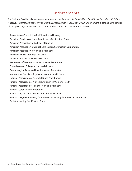## Endorsements

<span id="page-3-0"></span>The National Task Force is seeking endorsement of the *Standards for Quality Nurse Practitioner Education, 6th Edition, A Report of the National Task Force on Quality Nurse Practitioner Education (2022)*. Endorsement is defined as "a general philosophical agreement with the content and intent" of the standards and criteria.

- Accreditation Commission for Education in Nursing
- American Academy of Nurse Practitioners Certification Board
- American Association of Colleges of Nursing
- American Association of Critical-Care Nurses, Certification Corporation
- American Association of Nurse Practitioners
- American Nurses Credentialing Center
- American Psychiatric Nurses Association
- Association of Faculties of Pediatric Nurse Practitioners
- Commission on Collegiate Nursing Education
- Gerontological Advanced Practice Nurses Association
- International Society of Psychiatric-Mental Health Nurses
- National Association of Neonatal Nurse Practitioners
- National Association of Nurse Practitioners in Women's Health
- National Association of Pediatric Nurse Practitioners
- National Certification Corporation
- National Organization of Nurse Practitioner Faculties
- National League for Nursing Commission for Nursing Education Accreditation
- Pediatric Nursing Certification Board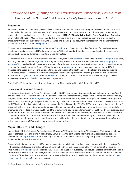# <span id="page-4-0"></span>Standards for Quality Nurse Practitioner Education, 6th Edition *A Report of the National Task Force on Quality Nurse Practitioner Education*

## **Preamble**

Since 1997 the National Task Force (NTF) for Quality Nurse Practitioner Education, a multi-organization collaboration, has been committed to the initiation and maintenance of high-quality nurse practitioner (NP) education through periodic review and modifications in standards and criteria. The consensus-based **2022 NTF Standards for Quality Nurse Practitioner Education**  (abbreviated **NTFS**)**,** *6th Edition*, sets new standards and revised criteria to facilitate program quality and ongoing quality improvement through quality assessment, maintenance, and planning. This document delineates national standards for the development and assessment of [NP programs.](#page-20-0)

Four standards, Mission and [Governance](#page-19-0), Resources, [Curriculum,](#page-19-1) and Evaluation, provide a framework for the development, maintenance, and assessment of NP education programs. With each standard, specific criteria for achieving the standard are delineated. Required evidence for each criteria is also delineated.

Standard One focuses on the institutional mission/philosophy/values and [governance](#page-19-0) needed to advance [NP program](#page-20-0) excellence, including faculty involvement in [governance](#page-19-0), program quality, as well as improvement processes, and [diversity, equity, and](#page-19-2)  [inclusion \(DEI\)](#page-19-2). Standard Two focuses on the resources - fiscal, human, student support services, learning, and physical resources - required for a quality program. Standard Three focuses on the [curriculum](#page-19-1) necessary to prepare students for the NP role, mandating the necessity of meeting national standards and outlining the depth and breadth of requisite knowledge and skills for student success. Standard Four focuses on the systematic evaluation process for ongoing quality improvement through assessment of [program outcomes](#page-20-1), resources, [curriculum](#page-19-1), faculty, and students. These standards and criteria apply to all NP education programs, and this document remains degree neutral.

As of April 2022, the national organizations listed on page 4 have endorsed the 6th Edition of the NTFS.

### **Review and Revision Process**

The National Organization of Nurse Practitioner Faculties (NONPF) and the American Association of Colleges of Nursing (AACN) convened the 6th NTF in December 2019. The task force included 19 organizations, whose activities are related to NP education, program accreditation, [certification,](#page-18-1) [licensure](#page-20-2), or practice. The NTF members (organizational representatives) met through faceto-face and virtual meetings, using web-based technology and email communications to advance their work. By December 2020, the NTF had completed an initial review and revision of the 6th Edition of the NTFS. The NTF representatives then shared the draft document with their respective organizational leadership for comment. Organizational representatives served as conduits for information and feedback between the NTF and the organizations' leadership and membership. The NTF addressed organizational comments in further revisions to the document and incorporated changes before releasing the document for public review and comments in August 2021. After additional revision, the final document was issued in February 2022. The NTF, which remains committed to upholding the timeliness of this document, will continue the cycle of review and revision every three to five years unless rapid changes in NP education warrant more frequent review.

## **Major Influences and Changes**

Finalized in 2008, the Advanced Practice Registered Nurses (APRN) Consensus Model (APRN Consensus Work Group & National Council of State Boards of Nursing APRN Advisory Committee, 2008) continues to inform the NTFS, specifically as it relates to the NP roles and [population focus](#page-20-3) areas. The target date for full implementation of this Regulatory Model and all embedded recommendations was the year 2015.

As part of its initial assessment, the NTF explored major influences in health care, health professions, and higher education. The NTF subsequently focused primarily on those influencing health professions education. The first influence is the transition to time-variable, [competency-](#page-18-2)based education (CBE). The NTF engaged in robust study and discussion regarding this transition and supports the transition to CBE. However, the consensus of the NTF is that NP education has not developed CBE and assessment processes sufficiently to support the transition to time-variable education and the elimination of a minimum number of [direct](#page-19-3)  [patient care clinical hours](#page-19-3) for quality education.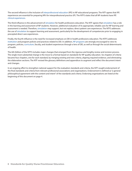The second influence is the inclusion of [interprofessional education](#page-20-4) (IPE) in NP educational programs. The NTF agrees that IPE experiences are essential for preparing NPs for interprofessional practice (IP). The NTFS states that all NP students have IPE [clinical experiences.](#page-18-3)

The third influence is the advancement of [simulation](#page-20-5) for health professions education. The NTF agrees that [simulation](#page-20-5) has a role in the learning and assessment of NP students. However, additional evaluation of its appropriate, reliable uses for NP learning and assessment is needed. Therefore, [simulation](#page-20-5) may support, but not replace, direct patient care experiences. The NTFS addresses the use of [simulation](#page-20-5) to support learning and assessment, particularly for the development of competencies prior to engaging in precepted direct care experiences.

Finally, the fourth influence is the need for increased emphasis on DEI in health professions education. The NTFS addresses [institution](#page-20-6) and program policies and practices related to DEI. In addition, [NP programs](#page-20-0) are strongly encouraged to view its program, policies, [curriculum](#page-19-1), faculty, and student experiences through a lens of DEI, as well as through the social determinants of health.

The 6th Edition of the NTFS includes major changes that emerged from the rigorous and lengthy review and revision process. The single most substantial change is the move to a format based on standards for NP quality education. Six chapters of criteria became four chapters, one for each standard, by merging existing and new criteria, aligning required evidence, and eliminating the elaboration sections. The NTF revised the glossary definitions and appendices to augment and reflect the document intent and changes.

In an ongoing effort to strengthen national support for the evaluation standards and criteria, the NTF sought endorsement of the final standards and criteria from relevant professional associations and organizations. Endorsement is defined as "a general philosophical agreement with the content and intent" of the standards and criteria. Endorsing organizations are listed at the beginning of this document on page 4.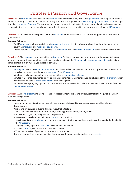# Chapter I. Mission and Governance

<span id="page-6-0"></span>**Standard:** The [NP Program](#page-20-0) is aligned with the [institution'](#page-20-6)s mission/philosophy/values and [governance](#page-19-0) that support educational excellence through a structure that addresses quality assurance and improvement; [diversity, equity, and inclusion \(DEI\);](#page-19-2) and input from the [community of interest](#page-18-4). Effective, ongoing formal processes, including faculty input, are in place for self-assessment and planning for the purpose of program improvement. Institutional policies commit to supporting quality within the [NP program.](#page-20-0)

**Criterion I.A.** The mission/philosophy/values of the [institution](#page-20-6) promote academic excellence and support NP education at the graduate level.

#### **Required Evidence:**

- The NP [curriculum,](#page-19-1) delivery modality, and [program outcomes](#page-20-1) reflect the mission/philosophy/values statements of the governing [institution](#page-20-6) and [nursing education unit](#page-20-7).
- The mission/philosophy/values statements of the [institution](#page-20-6) and the [nursing education unit](#page-20-7) are accessible to the public.

**Criterion I.B.** The [governance](#page-19-0) structure within the [institution](#page-20-6) facilitates ongoing quality improvement through participation in the development, implementation, maintenance, and evaluation of the [NP program](#page-20-0) by a [community of interest](#page-18-4), including administrators, faculty, students, and practice partners.

#### **Required Evidence:**

- [NP program](#page-20-0) defines the [community of interest](#page-18-4) and shows a clear pathway of inclusion and opportunity to provide input, virtually or in person, regarding the [governance](#page-19-0) of the [NP program](#page-20-0).
- Minutes or similar documentation of meetings with the [community of interest.](#page-18-4)
- Minutes of meetings documenting development, implementation, maintenance, and evaluation of the [NP program](#page-20-0), which demonstrate how the [community of interest](#page-18-4) has been engaged.
- Minutes reflecting ongoing input and documentation of actions taken for quality improvement based on input from the [community of interest](#page-18-4).

**Criterion I.C.** The [NP program](#page-20-0) maintains accessible, updated written policies and procedures that reflect equitable and nondiscriminatory practices.

- Processes for review of policies and procedures to ensure policies and implementation are equitable and nondiscriminatory.
- Policies and procedures, including date reviewed, that establish:
	- Published materials for student recruitment, including program length, tuition, and fees.
	- Admission, progression, and graduation requirements.
	- Selection of clinical sites and minimum [preceptor](#page-20-8) qualifications.
	- Selection and use of [simulation](#page-20-5) for learning in alignment with the national best practices and/or standards identified by the [NP program](#page-20-0).
	- Ongoing faculty input into [curriculum](#page-19-1) development and revision.
	- Faculty, [preceptor,](#page-20-8) clinical site, and student evaluation.
	- Timelines for review of policies, procedures, and handbooks.
- Relevant handbooks or program materials that inform and support faculty, students and [preceptors](#page-20-8).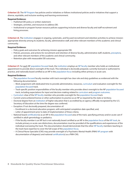**Criterion I.D.** The [NP Program](#page-20-0) has policies and/or initiatives or follows institutional policies and/or initiatives that support a diverse, equitable, and inclusive working and learning environment.

#### **Required Evidence:**

- Published DEI policy or written statement.
- Strategies, activities, and resources to address DEI.
- Institutional or program human resource policies supporting inclusive and diverse faculty and staff recruitment and hiring processes.

**Criterion I.E.** The [institution](#page-20-6) engages in ongoing, systematic, and focused recruitment and retention activities to achieve missionappropriate diversity among its students, faculty, administrative staff, and other relevant members of the academic and clinical community.

#### **Required Evidence:**

- Policy goals and outcomes for achieving mission-appropriate DEI.
- Policies, processes, and actions for recruitment and retention of diverse faculty, administrative staff, students, [preceptors](#page-20-8), and other relevant members of the academic and clinical community.
- Retention plan with measurable DEI outcomes.

**Criterion I.F.** For each NP [population focused](#page-20-3) track, the [institution](#page-20-6) employs an [NP faculty](#page-20-7) member who holds an institutional appointment to provide direct oversight of the track. This individual is doctorally prepared, currently licensed or authorized to practice, and nationally board certified as an NP in the [population focus](#page-20-3) including either primary or acute care.

- The [population focused](#page-20-3) faculty member with track oversight has clear role and duty guidelines as evidenced with the following documentation:
	- Work assignment with dedicated time to provide administrative, resources, [curriculum](#page-19-1) and evaluation oversight for the [population focused](#page-20-3) track.
	- Track-specific position responsibilities of the faculty member who provides direct oversight to the NP [population focused](#page-20-3) track, including expectations for input and decision-making related to [curriculum](#page-19-1) and [program outcomes](#page-20-1).
- [Curriculum](#page-19-1) vitae of the [NP faculty](#page-20-7) member who provides oversight for the [population focused](#page-20-3) track.
- Current unencumbered license or other authorization to practice as an NP as required by the state or territory.
- Doctoral degree from an [institution](#page-20-6) of higher education that is accredited by an agency officially recognized by the U.S. Secretary of Education at the time the degree was conferred.
- Exception: If not doctorally prepared, documentation of:
	- Enrollment in a doctoral education program, with anticipated completion date specified, and;
	- Letter of appointment prior to date of implementation of these criteria.
- National board [certification](#page-18-1)(s) as an NP in the [population focused](#page-20-3) area of the track, specifying primary and/or acute care if certified in adult-gerontology or pediatrics.
	- If the faculty member is an NP but is not nationally board certified as an NP in the [population focus](#page-20-3) of the [NP track](#page-20-9), to include primary or acute care distinctions, documentation must be provided of the qualifications and experiences of the individual overseeing the track. This documentation should demonstrate that the other [NP faculty](#page-20-7) members teaching in the track have expertise to cover the full scope of the [population focus](#page-20-3).
	- A Clinical Nurse Specialist (CNS) may provide oversight of a Psychiatric Mental Health (PMH) [NP program](#page-20-0) with documentation of degree(s) and national [certification\(](#page-18-1)s) as a PMH CNS.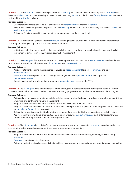**Criterion I.G.** The [institution'](#page-20-6)s policies and expectations for [NP faculty](#page-20-7) are consistent with other faculty in the [institution](#page-20-6) with the same [academic rank](#page-18-5) and role regarding allocated time for teaching, [service,](#page-18-6) scholarship, and [faculty development](#page-19-4) within the context of the [institution](#page-20-6)'s mission.

#### **Required Evidence:**

- Clearly articulated institutional policies or guidelines for [academic rank](#page-18-5) and role of [NP faculty.](#page-20-7)
- Institutional policies or guidelines supportive of the [NP faculty](#page-20-7) workload for successful teaching, scholarship, [service,](#page-18-6) and [faculty development](#page-19-4).
- Delineated faculty workload formulas to determine assignments for the academic unit.

**Criterion I.H.** The institutional policies support [NP faculty](#page-20-7) teaching didactic courses with a clinical component and/or clinical courses by supporting faculty practice to maintain clinical expertise.

#### **Required Evidence:**

• Institutional guidelines and/or policies that support clinical practice for those teaching in didactic courses with a clinical component or clinical courses that focus on diagnostic management.

**Criterion I.I.** The [NP Program](#page-20-0) has a policy that supports the completion of an NP workforce [needs assessment](#page-20-10) and enrollment capacity assessment prior to initiating a new [NP program](#page-20-0) or new [population focus](#page-20-3).

#### **Required Evidence:**

- Policy or statement detailing the process for conducting a [needs assessment](#page-20-10) for new [NP program](#page-20-0)s or a new [population focus](#page-20-3).
- [Needs assessment](#page-20-10) completed prior to starting a new program or a new [population focus](#page-20-3) with input from [community of interest](#page-18-4).
- Capacity assessment to implement new program or [population focus](#page-20-3) based on the NTFS.

**Criterion I.J.** The [NP Program](#page-20-0) has a comprehensive written policy/plan to address current and anticipated needs for clinical placement sites for all matriculated students to meet the learning, progression, and graduation expectations of the program.

#### **Required Evidence:**

- Policy and plan on record for attainment of clinical sites, including identification of individuals responsible for identifying, evaluating, and contracting with site management.
- Program policies that delineate processes for selection and evaluation of NP clinical sites.
- Program policies that delineate processes for NP student clinical placements to provide student experiences that meet role and [population focused](#page-20-3) learning objectives.
- Delineation of faculty responsibilities for clinical placements if not described in the plan provided for bullet #1 above.
- Plan for identifying new clinical sites for students in a new or growing [population focused](#page-20-3) track or for students whose current site is no longer available due to unanticipated events.

**Criterion I.K.** The [NP program](#page-20-0) has policies for recruiting, selecting, orienting, and evaluating [preceptors](#page-20-8) to enable students to meet learning outcomes and progress on a timely basis toward program completion.

- Program policies or other written documentation that delineate processes for selecting, orienting, and evaluating [preceptors](#page-20-8).
- [Preceptor](#page-20-8) orientation materials/program.
- Policies for assigning clinical placements that meet learning outcomes and support progress toward program completion.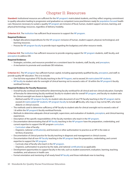# Chapter II: Resources

<span id="page-9-0"></span>**Standard:** Institutional resources are sufficient for the [NP program's](#page-20-0) matriculated students, and they reflect ongoing commitment to quality education leading to progression and graduation as competent nurse practitioners ready for [population focused](#page-20-3) health care. Resources necessary to sustain a quality [NP program](#page-20-0) are inclusive of fiscal, human, student support services, learning, and physical/technology resources, regardless of delivery modality.

#### **Criterion II.A.** The [institution](#page-20-6) has sufficient fiscal resources to support the [NP program.](#page-20-0)

#### **Required Evidence:**

- Budget allocations/expenditures for the [NP program](#page-20-0) inclusive of human, student support, physical, technological, and learning resources.
- Process for [NP program faculty](#page-20-11) to provide input regarding the budgetary and other resource needs.

**Criterion II.B.** The [institution](#page-20-6) has sufficient resources to provide ongoing support for [NP program](#page-20-0) students, staff, faculty, and [preceptors](#page-20-8) to address DEI.

#### **Required Evidence:**

- Strategies, activities, and resources provided on a consistent basis for students, staff, faculty, and [preceptors](#page-20-8).
- A mechanism to promote and coordinate DEI initiatives.

**Criterion II.C.** The [NP program](#page-20-0) has sufficient human capital, including appropriately qualified faculty, [preceptors](#page-20-8), and staff, to provide quality NP education. This is to include:

- One full-time equivalent (FTE) faculty teaching in the [NP Program,](#page-20-0) not to exceed 24 [matriculated NP students.](#page-20-12)
- [NP faculty](#page-20-7)-to-student ratio for oversight of clinical learning not to exceed a ratio of 1:8 within the [NP program](#page-20-0)'s faculty workload formula.

#### **Required Evidence for Faculty Resources:**

- Overall faculty workload and method for determining faculty workload for all clinical and non-clinical education. Examples of formulas for determining faculty workload, faculty-to-student ratio for overall [NP program](#page-20-0), and faculty-to-student ratio for clinical oversight are shown in Appendix F.
	- Method used for [NP program faculty-](#page-20-11)to-student ratio document of one FTE faculty teaching in the [NP program](#page-20-0) not to exceed 24 [matriculated NP students](#page-20-12). [NP program faculty](#page-20-11) to include **all** faculty, who may or may not be NPs, who teach didactic or clinical courses.
- The methods used to determine sufficiency of NP faculty-to student ratio for clinical oversight not to exceed a ratio of 1:8 within the [NP program'](#page-20-0)s faculty workload formula.
- Methods to determine adequate clinical oversight, supervision, and evaluation of students, [preceptors](#page-20-8), and clinical learning experiences.
- Description of the specific responsibilities of the faculty members who teach in the [NP program](#page-20-0).
- Documentation demonstrating that all [NP faculty](#page-20-7) teaching in the [NP program](#page-20-0) have the preparation, credentialing, and current expertise to support the NP program [curriculum.](#page-19-1)
	- [Curriculum](#page-19-1) vitae of faculty.
	- Degree(s), national [certification](#page-18-1)(s), and license(s) or other authorization to practice as an NP in the state or territory of practice.
- Documentation of clinical practice for faculty teaching in diagnosis and management or clinical courses.
- Documentation that all non[-NP faculty](#page-20-7) teaching in the [NP program](#page-20-0) have the preparation, credentialing, and current expertise to support the [NP program.](#page-20-0)
	- Curricula vitae of faculty who teach in the [NP program.](#page-20-0)
	- Degree(s), authorization to practice by the state, and national [certification\(](#page-18-1)s) as applicable.
- Development opportunities to support faculty in the role, such as student assessment, evaluation, learning, teaching modalities, and advances in health care.
- Formal orientation and mentoring of all newly hired [NP faculty](#page-20-7) and those individuals new to teaching.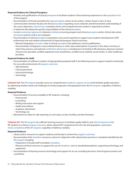#### **Required Evidence for Clinical [Preceptors](#page-20-8):**

- Number and qualifications of clinical [preceptors](#page-20-8) to facilitate students' clinical learning experiences in the [population foci](#page-20-3) of the program.
- Documentation of formal orientation for new [preceptors](#page-20-8), which can be written, verbal, virtual, or face-to-face.
- Communication between faculty and clinical [preceptors](#page-20-8) regarding course materials and demonstrated understanding of the course objectives, [clinical hours,](#page-18-7) evaluation forms, and competencies the student is expected to achieve.
- A statement describing the specific responsibilities of the clinical [preceptor.](#page-20-8)
- Current [contractual agreements](#page-18-8) between [institutions](#page-20-6)/nursing program and clinical [preceptors](#page-20-8) and/or clinical sites where [preceptors](#page-20-8) practice and/or are employed.
- Documentation of clinical [preceptor](#page-20-8)s' preparation and current expertise to support each student's development of NP professional role and student achievement of expected program clinical outcomes.
	- Relevant biography/[curriculum](#page-19-1) vitae of clinical [preceptors](#page-20-8) that addresses current qualifications.
	- Documentation of degree(s), unencumbered license or other state authorization to practice in the state or territory in which they practice, and national [certification](#page-18-1) of [preceptor,](#page-20-8) including but not limited to NP, physician, physician assistant, clinical nurse specialist, certified registered nurse anesthetists, certified nurse midwife, social worker, or other healthcare providers.

#### **Required Evidence for Staff:**

- Documentation of sufficient numbers of appropriately prepared staff in the following areas to support students and faculty for successful achievement of [program outcomes](#page-20-1):
	- Administrative
	- Clinical placement
	- Instructional design
	- Technology

**Criterion II.D.** The [NP program](#page-20-0) provides access to comprehensive [academic support services](#page-18-6) that facilitate quality education by addressing student needs and challenges to timely progression and graduation from the [NP program](#page-20-0), regardless of delivery modality.

#### **Required Evidence:**

- Documentation of services available to NP students, including:
	- Financial aid
	- Counseling
	- Writing instruction and support
	- Health and wellness
	- Academic advisement
	- Technology use
- Mechanisms to allow for safe reporting on such topics as bias, hostility, and discrimination.

**Criterion II.E.** The [NP program](#page-20-0) has sufficient learning resources to facilitate quality didactic and [clinical experiences](#page-18-3) for NP students to achieve [program outcomes,](#page-20-1) attain national NP competencies for the role and population, and ensure [timely completion](#page-21-0) of the [NP program](#page-20-0), regardless of delivery modality.

- Library and/or resources to support students and faculty to achieve the [program outcomes.](#page-20-1)
- Documentation that [simulation](#page-20-5) resources used are in alignment with national best practices or standards identified by the [NP program](#page-20-0) including:
	- Preparation of faculty/staff to facilitate [simulation](#page-20-5).
	- Physical and fiscal resources to support the use of [simulation,](#page-20-5) such as standardized patients, supporting technology, and equipment.
- Documentation of learning resource technology and support for its use, including electronic clinical logs/encounters and e-portfolios.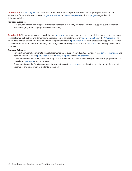**Criterion II. F.** The [NP program](#page-20-0) has access to sufficient institutional physical resources that support quality educational experiences for NP students to achieve [program outcomes](#page-20-1) and [timely completion](#page-21-0) of the [NP program](#page-20-0) regardless of delivery modality.

#### **Required Evidence:**

• Facilities, equipment, and supplies available and accessible to faculty, students, and staff to support quality education experiences, regardless of program delivery modality.

**Criterion II. G.** The program secures clinical sites and [preceptors](#page-20-8) to ensure students enrolled in clinical courses have experiences to meet learning objectives and demonstrate expected course competencies with [timely completion](#page-21-0) of the [NP program.](#page-20-0) The NP students' clinical placements are aligned with the program role and [population focus](#page-20-3). Faculty assess and approve all clinical placements for appropriateness for meeting course objectives, including those sites and [preceptor](#page-20-8)s identified by the students or others.

- Sufficient number of appropriate clinical placement sites to support enrolled students' direct care [clinical experiences](#page-18-3) and learning outcomes for the [population foci](#page-20-3) and [timely completion](#page-21-0) of the [NP program.](#page-20-0)
- Documentation of the faculty role in ensuring clinical placement of students and oversight to ensure appropriateness of clinical sites, [preceptor](#page-20-8)s, and experiences.
- Documentation of the faculty communications/meetings with [preceptor](#page-20-8)(s) regarding the expectations for the student experience and assessment of student progression.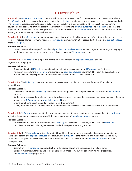# III: Curriculum

<span id="page-12-0"></span>**Standard:** The [NP program](#page-20-0) [curriculum](#page-19-1) contains all educational experiences that facilitate expected outcomes of NP graduates. The [NP faculty](#page-20-7) designs, reviews, revises, and evaluates the [curriculum](#page-19-1) to maintain current relevancy and meet national standards. The [curriculum](#page-19-1) addresses competencies, as delineated by specialty nursing organizations, NP organizations, and nursing education organizations, to promote student achievement of learning and [program outcomes](#page-20-1). The [curriculum](#page-19-1) establishes the depth and breadth of requisite knowledge and skills for student success in the [NP program](#page-20-0) as demonstrated through NP student learning experiences, testing, and overall evaluation.

**Criterion III. A.** The [NP program](#page-20-0) prepares graduates to meet education eligibility requirements for authorization to practice in one (or more) states and for one (or more) national NP [certification](#page-18-1) examinations that correspond with the role and [population focus](#page-20-3) of the [NP program.](#page-20-0)

#### **Required Evidence:**

• Written statement listing specific NP role and [population focused](#page-20-3) [certification](#page-18-1)s for which graduates are eligible to apply is published, at a minimum, in the university or college catalog and [NP program](#page-20-0) website.

**Criterion III.B.** The [NP faculty](#page-20-7) have input into admission criteria for each NP [population focused](#page-20-3) track and degree/certificate program.

#### **Required Evidence:**

- Documentation that [NP faculty](#page-20-7) are providing input into admission criteria for the [NP program](#page-20-0) and/or tracks.
- Admission criteria for the [NP program](#page-20-0) and/or individual [population focused](#page-20-3) tracks that differ from the overall school of nursing graduate degree program are clearly defined, explained, and accessible to the public.

**Criterion III.C.** The [NP faculty](#page-20-7) provide input for any progression and completion criteria specific to the NP population focused track.

#### **Required Evidence:**

- Documents affirming that [NP faculty](#page-20-7) provide input into progression and completion criteria specific to the [NP program](#page-20-0) and/or tracks.
- Student progression and completion criteria, including the overall graduate degree program and programmatic differences unique to the [NP program](#page-20-0) or the [population focused](#page-20-3) tracks.
- Criteria for full-time, part-time, and postgraduate study as pertinent.
- Faculty-designed plans for students to address content mastery deficiencies that adversely affect student progression.

**Criterion III.D** [NP faculty](#page-20-7) provide input to the development, implementation, evaluation, and revision of the entire [curriculum,](#page-19-1) including the graduate nursing core courses, APRN core courses, and NP [population focused](#page-20-3) courses.

#### **Required Evidence:**

- Formal committee minutes documenting that [NP faculty](#page-20-7) are developing, evaluating, and revising the [curriculum.](#page-19-1)
- Lists of resources used, including professional standards, competencies, and guidelines.

**Criterion III.E.** The NP [curriculum](#page-19-1) provid[es th](#page-18-5)e student broad-based, comprehensive graduate educational preparation for the role and at least one [population focused](#page-20-3) area of study. The [curriculum](#page-19-1) is consistent with and meets national standards/ competencies for graduate-level nursing education, APRN education, NP specific role, and [population focused](#page-20-3) education. (See Appendix B).

#### **Required Evidence:**

• Description of NP [curriculum](#page-19-1) that provides the student broad educational preparation and follows current nationally recognized standards and competencies for advanced-level nursing education, NP role preparation, and [population focus](#page-20-3) preparation.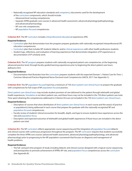- Nationally recognized NP education standards and [competency](#page-18-2) documents used for the development of the [curriculum](#page-19-1) components, which should include:
	- Advanced-level nursing competencies.
	- Separate APRN graduate core courses in advanced health assessment, advanced physiology/pathophysiology, and advanced pharmacology.
	- NP core role competencies.
	- NP [population focused](#page-20-3) competencies.

#### **Criterion III.F.** The NP [curriculum](#page-19-1) include[s interprofessional educational](#page-20-4) experiences (IPE).

#### **Required Evidence:**

- [Curriculum](#page-19-1) plan that demonstrates how the program prepares graduates with nationally recognized interprofessional (IP) education competencies.
- [Curriculum](#page-19-1) plan that includes NP students' didactic and/or [clinical experiences](#page-18-3) with other health professions students.
- Student logs, reflections, and evaluation of learning experiences that demonstrate integration of IP experiences or documentation of IP scholarly work.

**Criterion III.G.** The [NP program](#page-20-0) prepares students with nationally recognized patient care competencies, at the beginning advanced-practice level, through faculty-guided learning experiences prior to beginning the direct patient care hours defined in III.H.

#### **Required Evidence:**

• Documentation that illustrates how the [curriculum](#page-19-1) prepares students with the expected Domain 1, Patient Care for Time 1, Common Advanced Practice Registered Nurse Doctoral-Level Competencies (AACN, 2017; See Appendix C).

**Criterion III.H.** The NP [population focused](#page-20-3) track has a minimum of 750 [direct patient care clinical hours](#page-19-3) to prepare the graduate with competencies for full scope of NP [population focused](#page-20-3) practice.

[Direct patient care clinical hours](#page-19-3) may include student provision of care delivered to the patient through telehealth and global health experiences. [Simulation](#page-20-5) is not direct patient care, and these hours may not be included in the 750 direct patient care total. Time spent attaining the competencies addressed in Criterion III.G are not included in the 750 [direct patient care clinical hours](#page-19-3).

#### **Required Evidence:**

- Description of courses that show distribution of [direct patient care clinical hours](#page-19-3) in each course and the area(s) of practice or population(s) being addressed in each course that prepare the graduate with the nationally recognized NP and [population focused](#page-20-3) competencies.
- Faculty review of students' clinical encounters for breadth, depth, and type to ensure students have experiences across the role and [population focus.](#page-20-3)
- Description and expected outcomes of telehealth and global health experiences if those hours are included in the direct patient care total.

**Criterion III.I.** The NP [curriculum](#page-19-1) reflects appropriate course sequencing and the integration of [population focused](#page-20-3) didactic and clinical courses with continuous progression throughout the program. The NP [curriculum](#page-19-1) requires that students successfully complete the three APRN core courses (advanced health assessment, advanced physiology/pathophysiology, and advanced pharmacology) prior to progressing to the NP population coursework that focuses on diagnosis and management of health problems.

#### **Required Evidence:**

• The full- and part-time program of study including didactic and clinical courses designed with a logical course sequencing and prerequisites to promote achievement of APRN, NP role, and [population focus](#page-20-3) competencies across the [curriculum](#page-19-1) (See Appendix B).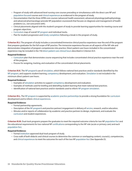- Program of study with advanced-level nursing core courses preceding or simultaneous with the direct care NP and [population focused](#page-20-3) courses and [clinical experiences](#page-18-3) as evidenced in the program of study.
- Documentation that the three APRN core courses (advanced health assessment, advanced physiology/pathophysiology, and advanced pharmacology) precede NP population coursework that focuses on diagnosis and management of health problems (i.e., not concurrent with).
- Clinical placements aligned with the student's program of study to provide learning opportunities for meeting course and program objectives.
- [Curriculum](#page-19-1) map of overall [NP program](#page-20-0) and individual tracks.
- Plan for student progression and [timely completion](#page-21-0) following a break in the program of study.

**Criterion III.J.** The program of study includes a concentrated/immersive clinical practice experience near the end of the program that prepares graduates for the full scope of NP practice. The immersive experience focuses on all aspects of the NP role and demonstrates integration of program competencies into practice. Direct patient care hours included in the concentrated experience may be included in the 750 [direct patient care clinical hours](#page-19-3) described in Criterion III.H.

#### **Required Evidence:**

- [Curriculum](#page-19-1) plan that demonstrates course sequencing that includes concentrated clinical practice experience near the end of the program.
- Process for assigning, tracking, and evaluation of the concentrated clinical placements.

**Criterion III.K.** The [NP program](#page-20-0)'s use of [simulation,](#page-20-5) which follows national best practices and/or standards identified by the [NP program](#page-20-0), and supports student learning, [competency](#page-18-2) development, and evaluation. [Simulation](#page-20-5) is not included in the minimum direct patient care hours.

#### **Required Evidence:**

- Examples of [simulation](#page-20-5) activities to support [competency](#page-18-2) development and evaluation.
- Examples of methods used for briefing and debriefing student learning that meet national best practices.
- Identification of national best practices and/or standards used to inform [NP program](#page-20-0) [simulation.](#page-20-5)

**Criterion III.L.** The [NP program](#page-20-0) is supported by [academic-practice partnerships](#page-18-9) to provide a strong foundation for [curriculum](#page-19-1) development and to inform [clinical experiences.](#page-18-3)

#### **Required Evidence:**

- Formal partnership agreements.
- Description of the [NP program'](#page-20-0)s and practice partners' engagement in delivery of [service,](#page-18-6) research, and/or education.
- Minutes and/or reports of collaboration by academic and practice partners to design, implement, and evaluate the [curriculum](#page-19-1) and student experiences.

**Criterion III.M.** Dual-track programs prepare the graduates to meet the required outcome criteria for two NP [population foci](#page-20-3) and the educational requirements for two national NP [certifications](#page-18-1) corresponding to the NP role (acute or primary care) and each [population foci](#page-20-3).

- Formal [institution](#page-20-6)-approved dual-track program of study.
- Cross walk of both didactic and clinical courses to determine the common or overlapping content, course(s), competencies, and [clinical experiences](#page-18-3) to meet the outcomes for each of the two NP [population foci](#page-20-3) (See Appendix D).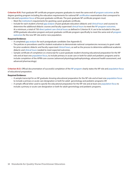**Criterion III.N.** Post-graduate NP certificate program prepares graduates to meet the same end-of[-program outcomes](#page-20-1) as the degree granting program including the education requirements for national NP [certification](#page-18-1) examinations that correspond to the role and [population focus](#page-20-3) of the post-graduate certificate. The post-graduate NP certificate program must:

- Meet the [institution](#page-20-6)'s requirements for granting a post-graduate certificate.
- Include for each student a formal [gap analysis](#page-19-5) of past graduate education (didactic and [clinical hours](#page-18-7) and courses) to determine the additional didactic courses and faculty supervised [clinical hours](#page-18-7) to meet the [NP program outcomes](#page-20-13). At a minimum, a total of 750 [direct patient care clinical hours](#page-19-3) as defined in Criterion III. H. are to be included in the past APRN graduate education program and post-graduate certificate program specifically to meet the same end-of-[program](#page-20-1)  [outcomes](#page-20-1) for the new NP role and/or new population.

#### **Required Evidence:**

- A completed [gap analysis](#page-19-5) for each postgraduate candidate (See Appendix E).
- The policies or procedures used for student evaluation to demonstrate national competencies necessary to grant credit for prior academic didactic and faculty supervised [clinical hours,](#page-18-7) as well as the process to determine additional academic didactic and [clinical hours](#page-18-7) needed to meet expected outcomes.
- Sample certificate of completion or a transcript for a post-graduate student showing educational preparation for the NP role and at least one [population focus,](#page-20-3) to include primary or acute care or both for adult and pediatric programs and to include completion of the APRN core courses (advanced physiology/pathophysiology, advanced health assessment, and advanced pharmacology).

**Criterion III.O.** Official documentation of successful completion of the [NP program](#page-20-0) clearly states the NP role and [population focus](#page-20-3) of educational preparation.

- A sample transcript for an NP graduate showing educational preparation for the NP role and at least one [population focus](#page-20-3) to include a primary or acute care designation or both for adult- gerontology and pediatric programs OR
- A sample official letter used to specify the educational preparation for the NP role and at least one [population focus](#page-20-3) to include a primary or acute care designation or both for adult-gerontology and pediatric programs.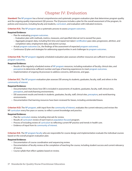# Chapter IV: Evaluation

<span id="page-16-0"></span>**Standard:** The [NP program](#page-20-0) has a formal comprehensive and systematic program evaluation plan that determines program quality and the ongoing quality improvement (QI) process. The QI process includes a plan for the overall assessment of the program, its policies and resources, including faculty and students, [curriculum](#page-19-1), and evaluation with indicated revisions.

**Criterion IV.A.** The [NP program](#page-20-0) uses a systematic process to assess [program outcomes.](#page-20-1)

#### **Required Evidence:**

- Plan for evaluating [program outcomes.](#page-20-1)
	- Evaluation plan with methods, metrics, measures, and specified interval not to exceed five years.
	- Aggregate program data, including first-time and repeat test takers' [certification](#page-18-1) pass rates; progression, attrition, and completion rates; employment data; and alumni surveys.
- Actual [program outcomes](#page-20-1) (i.e., the findings of the assessment of expected [program outcomes\)](#page-20-1).
- Continuous QI plan and strategies for addressing opportunities in and challenges to [program outcomes](#page-20-1).

**Criterion IV.B.** The [NP program](#page-20-0) regularly scheduled evaluation plan assesses whether resources are sufficient to achieve [program outcomes.](#page-20-1)

#### **Required Evidence:**

- Results of the regularly scheduled review of [NP program](#page-20-0) resources, including evaluation of faculty, clinical sites, and [preceptors](#page-20-8) to determine sufficient number and type of learning experiences to meet [program outcomes](#page-20-1).
- Implementation of ongoing QI processes to address concerns, deficiencies, and gaps.

**Criterion IV.C.** The [NP program](#page-20-0) evaluation plan assesses DEI among its students, graduates, faculty, staff, and others in the [community of interest](#page-18-4).

#### **Required Evidence:**

- Documentation that shows how DEI is included in assessments of students, graduates, faculty, staff, clinical sites, [preceptors](#page-20-8), and work/learning environments.
- DEI assessment results and trends in students, graduates, faculty, staff, clinical sites, [preceptors](#page-20-8), and work/learning environments.
- Documentation that learning resources have been reviewed for biases, including unintended biases.

**Criterion IV.D.** The [NP program](#page-20-0), with input from the [community of interest](#page-18-4), evaluates the current relevancy and revises the NP [curriculum](#page-19-1) every five years or sooner, to reflect current knowledge and practice.

#### **Required Evidence:**

- Plan for [curriculum](#page-19-1) review, including intervals for review.
- Results of [curriculum](#page-19-1) review of each track or [population focused](#page-20-3) program.
- Process of including review of [curriculum](#page-19-1) to reflecting current NP practice and trends in health care.
- Evidence of input from its [community of interest.](#page-18-4)

**Criterion IV.E.** The [NP program faculty](#page-20-11) who are responsible for course design and implementation evaluate the individual courses based on the overall program evaluation plan.

- Documentation of course coordination and sequencing review.
- Documentation of faculty review at the completion of teaching the course, including student success and current relevancy of course.
- Course syllabi that reflect updates based on review.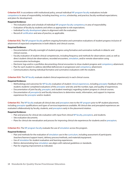**Criterion IV.F.** In accordance with institutional policy, annual individual [NP program faculty](#page-20-11) evaluations include [competence](#page-18-10) in areas of responsibility, including teaching, [service,](#page-18-6) scholarship, and practice; faculty workload expectations; and plans for development.

#### **Required Evidence:**

- The evaluation plan and schedule of individual [NP program faculty](#page-20-11) [competency](#page-18-2) in area of responsibility.
- Evaluation of faculty by students and others as appropriate to role expectations.
- Individual [faculty development](#page-19-4) plans in alignment with the evaluation.
- Record of [certification](#page-18-1) and area of practice, as applicable.

**Criterion IV.G.** The [NP program faculty](#page-20-11) perform ongoing formative and summative evaluations of student progress inclusive of attainment of expected competencies in both didactic and clinical courses.

#### **Required Evidence:**

- Documentation of faculty oversight of student progress using formative and summative methods in didactic and clinical courses.
- Faculty evaluation of student clinical competencies, including frequency and methods for observations used, as well as direct student clinical site observations, recorded encounters, [simulation,](#page-20-5) and/or remote observation using communication technologies.
- Electronic logs and/or e-portfolios documenting clinical encounters to show student progress and [competency](#page-18-2) attainment.
- Plan for each student to address identified deficiencies in progression and [competency](#page-18-2) attainment.
- Communications sharing individual formative and summative evaluations with the student.

**Criterion IV.H.** The [NP faculty](#page-20-7) evaluate student clinical experience(s) in each clinical course.

#### **Required Evidence:**

- Methodology and outcomes for [NP faculty](#page-20-7) evaluation of student [clinical experiences](#page-18-3), including [preceptor](#page-20-8) feedback of the student; students' completed evaluations of the [preceptor](#page-18-5) and site; and the number, type, and quality of experiences.
- Documentation of joint faculty, [preceptor](#page-20-8), and student meeting(s) regarding student progress in clinical courses.
- Documentation of [preceptor](#page-20-8)(s) and faculty interactions to determine needs, information, and support to improve experiences for [preceptor](#page-20-8) and/or student.

**Criterion IV.I.** The [NP faculty](#page-20-7) evaluate all clinical sites and [preceptors](#page-20-8) new to the [NP program](#page-20-0) prior to NP student placement, including [preceptor](#page-20-8) qualifications and types of services/experiences available. All clinical sites and precepted experiences are evaluated collaboratively by faculty, students, and [preceptor](#page-20-8)s early in the placement/rotation.

#### **Required Evidence:**

- Plan and process for clinical site evaluation with input from clinical [NP faculty](#page-20-7), [preceptor](#page-20-8)s, and students.
- Site evaluation documents.
- Plans for clinical site reevaluation and process for improving clinical site experiences for students and/or [preceptor](#page-20-8)s.

#### **Criterion IV.J.** The [NP program faculty](#page-20-11) evaluate the use of [simulation](#page-20-5) across the program.

- Plan and methods for the evaluation of [simulation](#page-20-5) use in the [curriculum,](#page-19-1) including assessment of participants (teachers/learners/support team), delivery process/methods, and materials/equipment.
- Use of [simulation](#page-20-5) for student evaluation and learning experiences.
- Metrics demonstrating how [simulation](#page-20-5) use aligns with national guidelines or standards.
- Plan for ongoing improvement as indicated.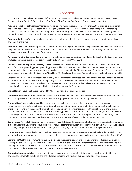# Glossary

<span id="page-18-0"></span>This glossary contains a list of terms with definitions and explanations as to how each relates to *Standards for Quality Nurse Practitioner Education, 6th Edition: A Report of the National Task Force on Quality Nurse Practitioner Education (2022).*

<span id="page-18-9"></span>**Academic-Practice Partnerships:** Mechanism for advancing nursing practice to improve the health of the public. Intentional and formalized relationships are based on mutual goals, respect, and shared knowledge. An academic-practice partnership is developed between a nursing education program and a care setting. Such relationships are defined broadly and may include partnerships within nursing, and with other professions, corporations, government entities, and foundations (AACN-AONE, 2012).

<span id="page-18-5"></span>**[Academic Rank:](#page-18-5)** Rank/position of a faculty member in a college or university, such as professor, associate professor, assistant professor, or instructor.

<span id="page-18-6"></span>**Academic Service or Service:** A professional contribution to the NP program, school/college/program of nursing, the institution, the profession, or the community which advances an academic mission. If service is required, the NP program must allow a reasonable portion of the workload effort for these duties.

**Advanced Nursing Education Competencies**: Foundational core competencies deemed essential for all students who pursue a graduate degree in nursing regardless of specialty or functional focus (AACN, 2021).

**Advanced Practice Registered Nursing (APRN) Core:** Essential broad-based curriculum content for all APRN students in the areas of advanced physiology/pathophysiology, advanced health assessment, and advanced pharmacology. This content must be presented as three separate, comprehensive graduate-level courses in the APRN curriculum. Descriptions of each course and content area are provided in the Consensus Model for APRN Regulation: Licensure, Accreditation, Certification & Education (2008).

<span id="page-18-1"></span>**Certification:** A psychometrically sound and legally defensible method that meets nationally recognized accreditation standards for certification programs. When used for regulatory purposes, the certification method demonstrates acquisition of the APRN core and role competencies across at least one population focus of practice. An individual's educational preparation (role/ population focus) must be congruent with the certification examination/process.

<span id="page-18-3"></span>**Clinical Experiences:** Health care delivered by NPs to individuals, families, and groups.

<span id="page-18-7"></span>**Clinical Hours:** Those hours in which direct clinical care is provided to individuals and families in one of the six population focused areas of NP practice and in primary care or acute care as appropriate. (See definition of "population focus.")

<span id="page-18-4"></span>**Community of Interest:** Groups and individuals who have an interest in the mission, goals, and expected outcomes of a nursing unit and the unit's effectiveness in achieving these objectives. The community of interest comprises the stakeholders of the program and may include both internal groups (e.g., current students, institutional administration, etc.) and external constituencies (e.g., prospective students, regulatory bodies, practicing nurses, other healthcare providers, clients, employers, the community/public, etc.). The community of interest may also encompass individuals and populations of diverse backgrounds, races, ethnicities, genders, values, and perspectives who are served and affected by the program (CCNE, 2018).

<span id="page-18-10"></span>**Competence:** Array of abilities, such as knowledge, skills, and attitudes (KSA), across multiple domains or aspects of performance in a certain context. Statements about competence require descriptive qualifiers to define the relevant abilities, context, and stage of training. Competence is multidimensional and dynamic, changing with time, experience, and setting (Frank, 2010).

<span id="page-18-2"></span>**Competency:** An observable ability of a health professional, integrating multiple components such as knowledge, skills, values, and attitudes. Because competencies are observable, they can be measured and assessed to document acquisition (Frank, 2010).

**Continuous Quality Improvement:** An evaluation plan and process for review of all aspects of the NP education unit including the NP program and each population focused track. The plan includes evaluation elements that are regularly recurring and those that require continuous quality surveillance and revision. The faculty assess and analyze actual outcomes in relation to expected outcomes to validate or revise policies, practices, and curricula as appropriate.

<span id="page-18-8"></span>**Contractual Agreement:** Formal agreement between an education program/institution and a clinical agency that legally protects, as appropriate, the clinical site, the education program, and students during educational experiences.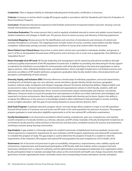**Credentials**: Titles or degrees held by an individual indicating level of education, certification, or licensure.

**Criterion:** A measure or test by which to judge NP program quality in accordance with the Standards and Criteria for Evaluation of Nurse Practitioner Programs.

<span id="page-19-1"></span>**Curriculum:** All planned educational experiences that facilitate achievement of expected student outcomes. Nursing curricula include clinical practice experiences.

**Curriculum Evaluation:** The review process that is used at regularly scheduled intervals to review and update courses based on student evaluations and changes in health care. The process serves to assure accuracy and relevancy of learning experiences.

**Curriculum Mapping:** Review process for the identification and correction of redundancies and omissions of content and activities throughout a curriculum. The mapping process includes review of courses, activities, exams before and after degree completion, relationships among curricular components, and flow of courses and content within the document.

<span id="page-19-3"></span>**Direct Patient Care Clinical Hours:** Hours/time in which direct clinical care is provided to individuals, families, and groups in one (1) of the six (6) population focused areas of NP practice and in primary care or acute care as appropriate. (See definition of "population focus.")

**Direct Oversight of an NP track:** NP faculty leadership and management role for advancing educational excellence through continuous quality improvement of the NP population focused track. In addition to providing and advocating for faculty support as indicated, the individual is accountable for communication with all faculty teaching in the track and organization as well as agency partners, other individuals leading tracks, and administrators. Direct oversight includes but is not limited to process and outcomes surveillance of NP student admission, progression, graduation data; faculty-student ratios; clinical placements and preceptors; and leadership of track revisions.

<span id="page-19-2"></span>**Diversity, Equity, and Inclusion (DEI):** Diversity references a broad range of individual, population, and social characteristics, including but not limited to age; sex; race; ethnicity; sexual orientation; gender identity; family structures; geographic locations; national origin; immigrants and refugees; language; physical, functional, and learning abilities; religious beliefs; and socioeconomic status. Inclusion represents environmental and organizational cultures in which faculty, students, staff, and administrators with diverse characteristics thrive. Inclusive environments require intentionality and embrace, not tolerate, differences. Everyone works to ensure the perspectives and experiences of others are invited, welcomed, acknowledged, and respected in inclusive environments. More broadly, equity is interrelated with diversity and inclusion. Equity is the ability to recognize the differences in the resources or knowledge needed to allow individuals to fully participate in society, including access to higher education, with the goal of overcoming obstacles to ensure fairness (Kranich, 2001).

<span id="page-19-6"></span>**Dual Track Program:** A graduate education program whose curricular design allows students to major in two NP population focused clinical tracks or in primary care and acute care NP tracks in the same population focused area of practice. The program prepares graduates to meet education eligibility requirements to sit for two national NP certification examinations.

<span id="page-19-4"></span>**Faculty Development:** A set of processes provided to refresh existing competencies, gain new competencies, and maintain overall competence of a faculty member as a clinician, educator, and NP scholar. Examples of faculty development include but are not limited to faculty practice; online and face-to-face lectures and discussion; simulated scenarios for practice and assessment; workshops; and peer group learning communities.

<span id="page-19-5"></span>**Gap Analysis:** A gap analysis is a thorough analysis of a student's previously completed post licensure graduate courses and clinical experiences compared to requirements for your institution and NP program requirements and national NP competencies to complete the program of study. The gap analysis is used to determine the program of study for a student to meet the requirements of the institution, NP program and national NP and population focused competencies (UCLA Health, 2016).

<span id="page-19-0"></span>**Governance:** Set of structures and processes to gain accountability; transparency; responsiveness; rules; stability; equity and inclusiveness; empowerment; and broad-based participation of NP faculty, staff, and students within a program and track. Governance attributes form a culture for authority, and the administrative and management leadership of an organization where faculty participation helps to maintain and adapt that culture as the environment and health care change. Documents that reflect governance include organizational charts; committee rosters and corresponding minutes; attendance records; and bylaws.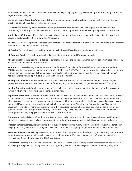<span id="page-20-6"></span>**Institution:** Defined as an educational institution accredited by an agency officially recognized by the U.S. Secretary of Education to grant academic degrees.

<span id="page-20-4"></span>**Interprofessional Education:** When students from two or more professions learn about, from, and with each other to enable effective collaboration and improve health outcomes.

<span id="page-20-2"></span>**Licensure:** The process by which boards of nursing grant permission to an individual to engage in nursing practice after determining that the applicant has attained the competency necessary to perform a unique scope of practice (NCSBN, 2021).

<span id="page-20-12"></span>**Matriculated NP Students:** Matriculation refers to when a student enrolls or registers as a student at a university or college in a degree or postgraduate certificate-awarding NP program.

<span id="page-20-10"></span>**Needs Assessment:** The process of collecting and analyzing information that can influence the decision to initiate a new program or revise an existing one (UCLA Health, 2016).

<span id="page-20-7"></span>**NP Faculty:** Faculty who teach in the NP program or track who are NPs and have an academic appointment.

<span id="page-20-11"></span>**NP Program Faculty:** All faculty who teach didactic or clinical courses in the NP program or track.

<span id="page-20-0"></span>**NP Program:** NP courses leading to a degree or certificate, to include the graduate (advance nursing education) core, APRN core, and NP role and population focused courses.

<span id="page-20-9"></span>**NP Track:** NP courses leading to a degree or certificate for a specific population focus as defined in the Consensus Model for APRN Regulation: Licensure, Accreditation, Certification & Education (2008). The six current population foci are adult-gerontology (primary care or acute care), pediatrics (primary care or acute care), family/individual across the lifespan, neonatal, women's health/gender related, and psychiatric-mental health across the lifespan.

<span id="page-20-13"></span>**NP Program Outcomes:** Measurable student outcomes, faculty outcomes, and other outcomes identified by the program, generating data on program effectiveness used to foster ongoing continuous quality program improvement (CCNE, 2018).

**Nursing Education Unit:** Administrative segment (e.g., college, school, division, or department of nursing) within an academic setting in which one or more nursing programs are conducted.

<span id="page-20-3"></span>**Population Focus/Foci:** One of the six broad areas of practice delineated in the Consensus Model for APRN Regulation: Licensure, Accreditation, Certification & Education (2008) for which national competencies exist and build on NP role competencies. The NP educational preparation and the corresponding national certification are grounded in the broad advanced practice nursing essentials, NP core competencies, and competencies for a population focus. When the term "population focus" is used in this document, it refers to providing care to individuals within a specific population. The six population foci are adult-gerontology (primary care or acute care), pediatrics (primary care or acute care), family/individual across the lifespan, neonatal, women's health/gender related, and psychiatric-mental health across the lifespan.

<span id="page-20-8"></span>**Preceptor:** A qualified clinician [health care professional] who collaborates with faculty to facilitate and supervise NP student clinical learning experiences in a faculty approved clinical setting. The preceptor meets eligibility criteria set by the faculty.

<span id="page-20-1"></span>**Program Outcomes:** Measurable outcomes that include student outcomes, faculty outcomes, and other outcomes identified by the program, and generate data on program effectiveness used to foster ongoing program continuous quality improvement.

**Service or Academic Service:** A professional contribution to the NP program, school/college/program of nursing, the institution, the profession, or the community which advances an academic mission. If service is required, the NP program must allow a reasonable portion of the workload effort for these duties.

<span id="page-20-5"></span>**Simulation:** A technique that creates a situation or environment to allow persons to experience a representation of a real event for the purpose of practice, learning, evaluation, testing, or to gain understanding of systems or human actions (Lioce, 2020).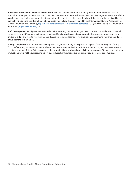**Simulation National Best Practices and/or Standards:** Recommendations incorporating what is currently known based on research and/or expert opinion. Simulation best practices provide learners with a curriculum and learning objectives that scaffolds learning and expectation to support the attainment of NP competencies. Best practices include faculty development and faculty oversight with briefing and debriefing. National guidelines include those developed by the International Nursing Association for Clinical Simulation and Learning [\(https://www.inacsl.org/healthcare-simulation-standards](https://www.inacsl.org/healthcare-simulation-standards), 2021) and the Society for Simulation in Healthcare [\(https://www.ssih.org,](https://www.ssih.org) 2021).

**Staff Development:** Set of processes provided to refresh existing competencies, gain new competencies, and maintain overall competence of an NP program staff based on assigned function and expectations. Associate development includes but is not limited to online and face-to-face lectures and discussion; simulated scenarios for practice and assessment; workshops; and peer group learning communities.

<span id="page-21-0"></span>**Timely Completion:** The shortest time to complete a program according to the published layout of the NP program of study. This timeframe may include an extension, determined by the program/institution, for the full-time program or an extension for part-time program of study. Extensions can be due to student issues only and not deficits in the program. Student progression to graduation should not be subjected to delays due to lack of sufficient and appropriate clinical placement opportunities.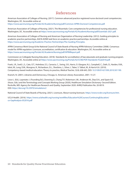## References

<span id="page-22-0"></span>American Association of Colleges of Nursing. (2017). Common advanced practice registered nurse doctoral-Level competencies. Washington, DC. Accessible online at

[https://www.aacnnursing.org/Portals/42/AcademicNursing/pdf/Common-APRN-Doctoral-Competencies.pdf.](https://www.aacnnursing.org/Portals/42/AcademicNursing/pdf/Common-APRN-Doctoral-Competencies.pdf)

American Association of Colleges of Nursing. (2021). The Wssentials: Core competencies for professional nursing education. Washington, DC. Accessible online at <https://www.aacnnursing.org/Portals/42/AcademicNursing/pdf/Essentials-2021.pdf>.

American Association of Colleges of Nursing and American Organization of Nursing Leadership. (2012). Guiding principles to academic-practice partnerships, AACN-AONE task force on academic-practice partnerships. Accessible online at <https://www.aacnnursing.org/Academic-Practice-Partnerships/The-Guiding-Principles>.

APRN Consensus Work Group & the National Council of State Boards of Nursing APRN Advisory Committee (2008). Consensus model for APRN regulation: Licensure, accreditation, certification & education. Washington, DC: Accessible online at <https://www.aacnnursing.org/Portals/42/AcademicNursing/pdf/APRNReport.pdf>.

Commission on Collegiate Nursing Education. (2018). Standards for accreditation of baccalaureate and graduate nursing program. Washington, DC. Accessible online at <https://www.aacnnursing.org/Portals/42/CCNE/PDF/Standards-Final2018.pdf>.

Frank, J.R., Snell, L.S., Cate, O.T., Holmboe, E.S., Carracio, C., Swing, S.R., Harris, O. Glasgow, N.J., Campbell, C., Dath, D., Harden, R.M., Iobst, W., Long, D.M., Mungroo, R., Richardson, D.L., Sherbino, J., Silver, I., Taber, S. Talbot, M., & Harris K.A. (2010). Competency-based medical education: Theory to practice, *Medical Teacher,* 32:8, 638-645, DOI: [10.3109/0142159X.2010.501190.](https://www.tandfonline.com/doi/full/10.3109/0142159X.2010.501190)

Kranich, N. (2001). Libraries and Democracy, Chicago, IL: American Library Association, 2001: 15-27.

Lioce L. (Ed.), Lopreiato J. (Founding Ed.), Downing D., Chang T.P., Robertson J.M., Anderson M., Diaz D.A., and Spain A.E. (Assoc. Eds.) and the Terminology and Concepts Working Group (2020), Healthcare Simulation Dictionary–Second Edition. Rockville, MD: Agency for Healthcare Research and Quality; September 2020. AHRQ Publication No. 20-0019. DOI:<https://doi.org/10.23970/simulationv2>

National Council of State Boards of Nursing. (2021). Licensure, About nursing licensure. [https://www.ncsbn.org/licensure.htm.](https://www.ncsbn.org/licensure.htm)

UCLA Health. (2016). [https://www.uclahealth.org/nursing/workfiles/Education%20Courses/ContinuingEducation/](https://www.uclahealth.org/nursing/workfiles/Education%20Courses/ContinuingEducation/ce-GapAnalysis-052016.pdf) [ce-GapAnalysis-052016.pdf](https://www.uclahealth.org/nursing/workfiles/Education%20Courses/ContinuingEducation/ce-GapAnalysis-052016.pdf)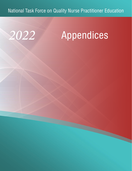<span id="page-23-0"></span>National Task Force on Quality Nurse Practitioner Education

# *2022* Appendices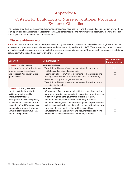# Appendix A:

## <span id="page-24-0"></span>Criteria for Evaluation of Nurse Practitioner Programs Evidence Checklist

The checklist provides a mechanism for documenting that criteria have been met and the required documentation provided. This form is provided as one example of a tool for tracking. Additional materials and narrative should accompany the form if used in order to provide full documentation for accreditation.

## **I. Mission and Governance**

**Standard:** The institution's mission/philosophy/values and governance achieve educational excellence through a structure that addresses quality assurance, quality improvement, and diversity, equity, and inclusion (DEI). Effective, ongoing formal processes are in place for self-assessment and planning for the purpose of program improvement. Through faculty governance, institutional policies commit to supporting quality within the NP program.

| <b>Criterion</b>                                                      | <b>Documentation</b>                                                                                                                         | <b>Documentation</b><br>Present - $\sqrt{ }$ if yes |
|-----------------------------------------------------------------------|----------------------------------------------------------------------------------------------------------------------------------------------|-----------------------------------------------------|
| Criterion I.A. The mission/<br>philosophy/values of the institution   | <b>Required Evidence:</b><br>• The mission/philosophy/values statements of the governing                                                     |                                                     |
| promote academic excellence                                           | institution and nursing education unit.                                                                                                      |                                                     |
| and support NP education at the                                       | • The mission/philosophy/values statements of the institution and                                                                            |                                                     |
| graduate level.                                                       | nursing education unit are reflected across the NP curriculum,                                                                               |                                                     |
|                                                                       | delivery modality, and program outcomes.                                                                                                     |                                                     |
|                                                                       | The mission/philosophy/values statements of the institution are<br>$\bullet$<br>accessible to the public.                                    |                                                     |
| <b>Criterion I.B.</b> The governance                                  | <b>Required Evidence:</b>                                                                                                                    |                                                     |
| structure within the institution                                      | • NP program defines the community of interest and shows a clear                                                                             |                                                     |
| facilitates ongoing quality                                           | pathway of inclusion and opportunity to provide input, virtually or                                                                          |                                                     |
| improvement through                                                   | in person, regarding the governance of the NP program.                                                                                       |                                                     |
| participation in the development,                                     | Minutes of meetings held with the community of interest.                                                                                     |                                                     |
| implementation, maintenance, and<br>evaluation of the NP program by a | Minutes of meetings documenting development, implementation,<br>$\bullet$<br>maintenance, and evaluation of the NP program, which depict how |                                                     |
| community of interest, including                                      | input from the community of interest has been utilized.                                                                                      |                                                     |
| administrators, faculty, students,                                    | Minutes reflecting ongoing input and documentation of actions<br>$\bullet$                                                                   |                                                     |
| and practice partners.                                                | based on data collected from the community of interest.                                                                                      |                                                     |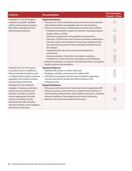| <b>Criterion</b>                                                                                                                                                                                                             | <b>Documentation</b>                                                                                                                                                                                                                                                                  | <b>Documentation</b><br>Present - $\sqrt{}$ if yes |
|------------------------------------------------------------------------------------------------------------------------------------------------------------------------------------------------------------------------------|---------------------------------------------------------------------------------------------------------------------------------------------------------------------------------------------------------------------------------------------------------------------------------------|----------------------------------------------------|
| <b>Criterion I.C.</b> The NP program<br>maintains accessible, updated<br>written policies and procedures                                                                                                                     | <b>Required Evidence:</b><br>• Processes for review of policies and procedures to ensure policies<br>and implementation are equitable and non-discriminatory.                                                                                                                         |                                                    |
| that reflect equitable and non-<br>discriminatory practices.                                                                                                                                                                 | • Policies and procedures, including date reviewed, that establish:<br>- Published materials for student recruitment, including program<br>length, tuition, and fees.                                                                                                                 |                                                    |
|                                                                                                                                                                                                                              | - Admission, progression, and graduation requirements.<br>- Selection of clinical sites and minimum preceptor qualifications.<br>- Selection and use of simulation for learning in alignment with<br>the national best practices and/or standards identified by the<br>NP program.    |                                                    |
|                                                                                                                                                                                                                              | - Ongoing faculty input into curriculum development                                                                                                                                                                                                                                   |                                                    |
|                                                                                                                                                                                                                              | and revision.<br>- Faculty, preceptor, clinical site, and student evaluation.<br>- Timelines for review of policies, procedures, and handbooks.<br>• Relevant handbooks or program materials that inform and support<br>faculty, students and preceptors.                             |                                                    |
| <b>Criterion I.D.</b> The NP Program<br>has policies and/or initiatives or<br>follows institutional policies and/<br>or initiatives that support a diverse,<br>equitable, and inclusive working<br>and learning environment. | <b>Required Evidence:</b><br>• Published DEI policy or written statement.<br>• Strategies, activities, and resources to address DEI.<br>• Institutional or program human resource policies supporting<br>inclusive and diverse faculty and staff recruitment and<br>hiring processes. |                                                    |
| <b>Criterion I.E.</b> The institution                                                                                                                                                                                        | <b>Required Evidence:</b>                                                                                                                                                                                                                                                             |                                                    |
| engages in ongoing, systematic,<br>and focused recruitment and<br>retention activities to achieve                                                                                                                            | • Policy goals and outcomes for achieving mission-appropriate DEI.<br>• Policies, processes, and actions for recruitment and retention of<br>diverse faculty, administrative staff, students, preceptors, and other                                                                   |                                                    |
| mission-appropriate diversity<br>among its students, faculty,<br>administrative staff, and other<br>relevant members of the academic<br>and clinical community.                                                              | relevant members of the academic and clinical community.<br>• Retention plan with measurable DEI outcomes.                                                                                                                                                                            |                                                    |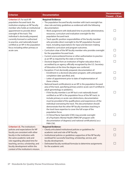| <b>Criterion</b>                                                                                                                                    | <b>Documentation</b>                                                                                                                                                                                                                                                                                                                                                                                                                                | <b>Documentation</b><br>Present - $\sqrt{ }$ if yes |
|-----------------------------------------------------------------------------------------------------------------------------------------------------|-----------------------------------------------------------------------------------------------------------------------------------------------------------------------------------------------------------------------------------------------------------------------------------------------------------------------------------------------------------------------------------------------------------------------------------------------------|-----------------------------------------------------|
| <b>Criterion I.F.</b> For each NP<br>population focused track, the<br>institution employs an NP faculty<br>member who holds an institutional        | <b>Required Evidence:</b><br>• The population focused faculty member with track oversight has<br>clear role and duty guidelines as evidenced with the following<br>documentation:                                                                                                                                                                                                                                                                   |                                                     |
| appointment to provide direct<br>oversight of the track. This<br>individual is doctorally prepared,                                                 | - Work assignment with dedicated time to provide administrative,<br>resources, curriculum and evaluation oversight for the<br>population focused track.                                                                                                                                                                                                                                                                                             |                                                     |
| currently licensed or authorized<br>to practice, and nationally board<br>certified as an NP in the population                                       | - Track-specific position responsibilities of the faculty member<br>who provides direct oversight to the NP population focused<br>track, including expectations for input and decision-making                                                                                                                                                                                                                                                       |                                                     |
| focus including either primary or<br>acute care.                                                                                                    | related to curriculum and program outcomes.<br>• Curriculum vitae of the NP faculty member who provides oversight<br>for the population focused track.                                                                                                                                                                                                                                                                                              |                                                     |
|                                                                                                                                                     | • Current unencumbered license or other authorization to practice<br>as an NP as required by the state or territory.                                                                                                                                                                                                                                                                                                                                |                                                     |
|                                                                                                                                                     | • Doctoral degree from an institution of higher education that is<br>accredited by an agency officially recognized by the U.S. Secretary<br>of Education at the time the degree was conferred.                                                                                                                                                                                                                                                      |                                                     |
|                                                                                                                                                     | • Exception: If not doctorally prepared, documentation of:<br>- Enrollment in a doctoral education program, with anticipated<br>completion date specified, and;                                                                                                                                                                                                                                                                                     |                                                     |
|                                                                                                                                                     | - Letter of appointment prior to date of implementation of<br>these criteria.                                                                                                                                                                                                                                                                                                                                                                       |                                                     |
|                                                                                                                                                     | • National board certification(s) as an NP in the population focused<br>area of the track, specifying primary and/or acute care if certified in<br>adult-gerontology or pediatrics.<br>- If the faculty member is an NP but is not nationally board<br>certified as an NP in the population focus of the NP track, to<br>include primary or acute care distinctions, documentation<br>must be provided of the qualifications and experiences of the |                                                     |
|                                                                                                                                                     | individual overseeing the track. This documentation should<br>demonstrate that the other NP faculty members teaching in<br>the track have expertise to cover the full scope of the<br>population focus.<br>- A Clinical Nurse Specialist (CNS) may provide oversight<br>of a Psychiatric Mental Health (PMH) NP program with<br>documentation of degree(s) and national certification(s) as a<br>PMH CNS.                                           |                                                     |
| <b>Criterion I.G.</b> The institution's<br>policies and expectations for NP                                                                         | <b>Required Evidence:</b><br>• Clearly articulated institutional policies or guidelines for                                                                                                                                                                                                                                                                                                                                                         |                                                     |
| faculty are consistent with other<br>faculty in the institution with<br>the same academic rank and                                                  | academic rank and role of NP faculty.<br>• Institutional policies or guidelines supportive of the NP faculty<br>workload for successful teaching, scholarship, service, and                                                                                                                                                                                                                                                                         |                                                     |
| role regarding allocated time for<br>teaching, service, scholarship, and<br>faculty development within the<br>context of the institution's mission. | faculty development.<br>Delineated faculty workload formulas to determine assignments<br>for the academic unit.                                                                                                                                                                                                                                                                                                                                     |                                                     |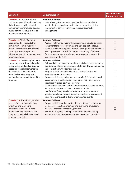| <b>Criterion</b>                                                                                                                                                                                                              | <b>Documentation</b>                                                                                                                                                                                                                                    | <b>Documentation</b><br>Present - $\sqrt{ }$ if yes |
|-------------------------------------------------------------------------------------------------------------------------------------------------------------------------------------------------------------------------------|---------------------------------------------------------------------------------------------------------------------------------------------------------------------------------------------------------------------------------------------------------|-----------------------------------------------------|
| <b>Criterion I.H.</b> The institutional<br>policies support NP faculty teaching<br>didactic courses with a clinical<br>component and/or clinical courses<br>by supporting faculty practice to<br>maintain clinical expertise. | <b>Required Evidence:</b><br>• Institutional guidelines and/or policies that support clinical<br>practice for those teaching in didactic courses with a clinical<br>component or clinical courses that focus on diagnostic<br>management.               |                                                     |
| <b>Criterion I.I.</b> The NP Program<br>has a policy that supports the<br>completion of an NP workforce                                                                                                                       | <b>Required Evidence:</b><br>• Policy or statement detailing the process for conducting a needs<br>assessment for new NP programs or a new population focus.                                                                                            |                                                     |
| needs assessment and enrollment<br>capacity assessment prior to                                                                                                                                                               | • Needs assessment completed prior to starting a new program or a<br>new population focus with input from community of interest.                                                                                                                        |                                                     |
| initiating a new NP program or new<br>population focus.                                                                                                                                                                       | Capacity assessment to implement new program or population<br>focus based on the NTFS.                                                                                                                                                                  |                                                     |
| <b>Criterion I.J.</b> The NP Program has a<br>comprehensive written policy/plan<br>to address current and anticipated                                                                                                         | <b>Required Evidence:</b><br>• Policy and plan on record for attainment of clinical sites, including<br>identification of individuals responsible for identifying, evaluating,<br>and contracting with site management.                                 |                                                     |
| needs for clinical placement sites<br>for all matriculated students to                                                                                                                                                        | • Program policies that delineate processes for selection and                                                                                                                                                                                           |                                                     |
| meet the learning, progression,<br>and graduation expectations of the<br>program.                                                                                                                                             | evaluation of NP clinical sites.<br>• Program policies that delineate processes for NP student clinical<br>placements to provide student experiences that meet role and<br>population focused learning objectives.                                      |                                                     |
|                                                                                                                                                                                                                               | Delineation of faculty responsibilities for clinical placements if not                                                                                                                                                                                  |                                                     |
|                                                                                                                                                                                                                               | described in the plan provided for bullet #1 above.<br>• Plan for identifying new clinical sites for students in a new or<br>growing population focused track or for students whose current<br>site is no longer available due to unanticipated events. |                                                     |
| <b>Criterion I.K.</b> The NP program has                                                                                                                                                                                      | <b>Required Evidence:</b>                                                                                                                                                                                                                               |                                                     |
| policies for recruiting, selecting,<br>orienting, and evaluating                                                                                                                                                              | • Program policies or other written documentation that delineate<br>processes for selecting, orienting, and evaluating preceptors.                                                                                                                      |                                                     |
| preceptors to enable students                                                                                                                                                                                                 | • Preceptor orientation materials/program.                                                                                                                                                                                                              |                                                     |
| to meet learning outcomes and<br>progress on a timely basis toward<br>program completion.                                                                                                                                     | • Policies for assigning clinical placements that meet learning<br>outcomes and support progress toward program completion.                                                                                                                             |                                                     |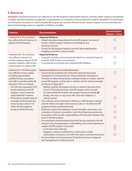## **II. Resources**

**Standard:** Institutional resources are sufficient for the NP program's matriculated students, and they reflect ongoing commitment to quality education leading to progression and graduation as competent nurse practitioners ready for population focused health care. Resources necessary to sustain a quality NP program are inclusive of fiscal, human, student support services, learning, and physical/technology resources, regardless of delivery modality.

| <b>Criterion</b>                                                                                                                                                  | <b>Documentation</b>                                                                                                                                                                                                                                                                                   | <b>Documentation</b><br>Present - $\sqrt{ }$ if yes |
|-------------------------------------------------------------------------------------------------------------------------------------------------------------------|--------------------------------------------------------------------------------------------------------------------------------------------------------------------------------------------------------------------------------------------------------------------------------------------------------|-----------------------------------------------------|
| <b>Criterion II.A.</b> The institution<br>has sufficient fiscal resources to<br>support the NP program.                                                           | <b>Required Evidence:</b><br>• Budget allocations/expenditures for the NP program inclusive of<br>human, student support, physical, technological, and                                                                                                                                                 |                                                     |
|                                                                                                                                                                   | learning resources.<br>• Process for NP program faculty to provide input regarding the<br>budgetary and other resource needs.                                                                                                                                                                          |                                                     |
| <b>Criterion II.B.</b> The institution<br>has sufficient resources to<br>provide ongoing support for NP                                                           | <b>Required Evidence:</b><br>• Strategies, activities, and resources provided on a consistent basis for<br>students, staff, faculty, and preceptors.                                                                                                                                                   |                                                     |
| program students, staff, faculty,<br>and preceptors to address DEI.                                                                                               | • A mechanism to promote and coordinate DEI initiatives.                                                                                                                                                                                                                                               |                                                     |
| <b>Criterion II.C.</b> The NP program<br>has sufficient human capital,<br>including appropriately<br>qualified faculty, preceptors,                               | <b>Required Evidence for Faculty Resources:</b><br>• Overall faculty workload and method for determining faculty<br>workload for all clinical and non-clinical education. Examples of<br>formulas for determining faculty workload, faculty-to-student ratio for                                       |                                                     |
| and staff, to provide quality NP<br>education. This is to include:<br>• One full-time equivalent (FTE)<br>faculty teaching in the NP<br>Program, not to exceed 24 | overall NP program, and faculty-to-student ratio for clinical oversight<br>are shown in Appendix F.<br>- Method used for NP program faculty-to-student ratio document<br>of one FTE faculty teaching in the NP program not to exceed<br>24 matriculated NP students. NP program faculty to include all |                                                     |
| matriculated NP students.<br>• NP faculty-to-student ratio for<br>oversight of clinical learning                                                                  | faculty, who may or may not be NPs, who teach didactic or<br>clinical courses.<br>• The methods used to determine sufficiency of NP faculty-to student                                                                                                                                                 |                                                     |
| not to exceed a ratio of 1:8<br>within the NP program's<br>faculty workload formula.                                                                              | ratio for clinical oversight not to exceed a ratio of 1:8 within the NP<br>program's faculty workload formula.<br>• Methods to determine adequate clinical oversight, supervision, and                                                                                                                 |                                                     |
|                                                                                                                                                                   | evaluation of students, preceptors, and clinical learning experiences.<br>• Description of the specific responsibilities of the faculty members who                                                                                                                                                    |                                                     |
|                                                                                                                                                                   | teach in the NP program.<br>• Documentation demonstrating that all NP faculty teaching in the NP                                                                                                                                                                                                       |                                                     |
|                                                                                                                                                                   | program have the preparation, credentialing, and current expertise to<br>support the NP program curriculum.<br>- Curriculum vitae of faculty.                                                                                                                                                          |                                                     |
|                                                                                                                                                                   | - Degree(s), national certification(s), and licenses or other<br>authorization to practice as an NP in the state or territory of practice.<br>• Documentation of clinical practice for faculty teaching in diagnosis                                                                                   | ×                                                   |
|                                                                                                                                                                   | and management or clinical courses.                                                                                                                                                                                                                                                                    |                                                     |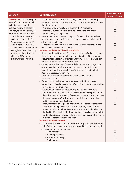| <b>Criterion</b>                                                                                     | <b>Documentation</b>                                                                                                                                                                                                                                                                                                                                                                                              | <b>Documentation</b><br>Present - $\sqrt{ }$ if yes |
|------------------------------------------------------------------------------------------------------|-------------------------------------------------------------------------------------------------------------------------------------------------------------------------------------------------------------------------------------------------------------------------------------------------------------------------------------------------------------------------------------------------------------------|-----------------------------------------------------|
| <b>Criterion II.C.</b> The NP program<br>has sufficient human capital,<br>including appropriately    | • Documentation that all non-NP faculty teaching in the NP program<br>have the preparation, credentialing, and current expertise to support<br>the NP program.                                                                                                                                                                                                                                                    |                                                     |
| qualified faculty, preceptors,<br>and staff, to provide quality NP<br>education. This is to include: | - Curricula vitae of faculty who teach in the NP program.<br>- Degree(s), authorization to practice by the state, and national<br>certification(s) as applicable.                                                                                                                                                                                                                                                 |                                                     |
| • One full-time equivalent (FTE)<br>faculty teaching in the NP                                       | • Development opportunities to support faculty in the role, such as<br>student assessment, evaluation, learning, teaching modalities, and<br>advances in health care.                                                                                                                                                                                                                                             |                                                     |
| Program, not to exceed 24<br>matriculated NP students.<br>• NP faculty-to-student ratio for          | • Formal orientation and mentoring of all newly hired NP faculty and<br>those individuals new to teaching.                                                                                                                                                                                                                                                                                                        |                                                     |
| oversight of clinical learning<br>not to exceed a ratio of 1:8<br>within the NP program's            | <b>Required Evidence for Clinical Preceptors:</b><br>• Number and qualifications of clinical preceptors to facilitate students'<br>clinical learning experiences in the population foci of the program.                                                                                                                                                                                                           |                                                     |
| faculty workload formula.                                                                            | • Documentation of formal orientation for new preceptors, which can<br>be written, verbal, virtual, or face-to-face.<br>• Communication between faculty and clinical preceptors regarding                                                                                                                                                                                                                         |                                                     |
|                                                                                                      | course materials and demonstrated understanding of the course<br>objectives, clinical hours, evaluation forms, and competencies the<br>student is expected to achieve.                                                                                                                                                                                                                                            |                                                     |
|                                                                                                      | • A statement describing the specific responsibilities of the<br>clinical preceptor.                                                                                                                                                                                                                                                                                                                              |                                                     |
|                                                                                                      | • Current contractual agreements between institutions/nursing<br>program and clinical preceptors and/or clinical sites where preceptors<br>practice and/or are employed.                                                                                                                                                                                                                                          |                                                     |
|                                                                                                      | • Documentation of clinical preceptors' preparation and current<br>expertise to support each student's development of NP professional<br>role and student achievement of expected program clinical outcomes.                                                                                                                                                                                                      |                                                     |
|                                                                                                      | - Relevant biography/curriculum vitae of clinical preceptors that<br>addresses current qualifications.                                                                                                                                                                                                                                                                                                            |                                                     |
|                                                                                                      | - Documentation of degree(s), unencumbered license or other state<br>authorization to practice in the state or territory in which they<br>practice, and national certification of preceptor, including but not<br>limited to NP, physician, physician assistant, clinical nurse specialist,<br>certified registered nurse anesthetists, certified nurse midwife, social<br>worker, or other healthcare providers. |                                                     |
|                                                                                                      | <b>Required Evidence for Staff:</b><br>• Documentation of sufficient numbers of appropriately prepared staff<br>in the following areas to support students and faculty for successful                                                                                                                                                                                                                             |                                                     |
|                                                                                                      | achievement of program outcomes:<br>- Administrative<br>- Clinical placement<br>- Instructional design                                                                                                                                                                                                                                                                                                            |                                                     |
|                                                                                                      | - Technology                                                                                                                                                                                                                                                                                                                                                                                                      |                                                     |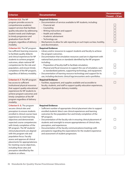| <b>Criterion</b>                                                                                                                                                                                                                                                                                                                                      | <b>Documentation</b>                                                                                                                                                                                                                                                                                                                                                                                                                                                                            | <b>Documentation</b><br>Present - $\sqrt{ }$ if yes |
|-------------------------------------------------------------------------------------------------------------------------------------------------------------------------------------------------------------------------------------------------------------------------------------------------------------------------------------------------------|-------------------------------------------------------------------------------------------------------------------------------------------------------------------------------------------------------------------------------------------------------------------------------------------------------------------------------------------------------------------------------------------------------------------------------------------------------------------------------------------------|-----------------------------------------------------|
| <b>Criterion II.D. The NP</b><br>program provides access to<br>comprehensive academic<br>support services that facilitate<br>quality education by addressing<br>student needs and challenges<br>to timely progression and<br>graduation from the NP<br>program, regardless of delivery<br>modality.                                                   | <b>Required Evidence:</b><br>• Documentation of services available to NP students, including:<br>- Financial aid<br>- Counseling<br>- Writing instruction and support<br>- Health and wellness<br>- Academic advisement<br>- Technology use<br>• Mechanisms to allow for safe reporting on such topics as bias, hostility,<br>and discrimination.                                                                                                                                               |                                                     |
| <b>Criterion II.E.</b> The NP program<br>has sufficient learning resources<br>to facilitate quality didactic<br>and clinical experiences for NP<br>students to achieve program<br>outcomes, attain national NP<br>competencies for the role and<br>population, and ensure timely<br>completion of the NP program,                                     | <b>Required Evidence:</b><br>• Library and/or resources to support students and faculty to achieve<br>the program outcomes.<br>• Documentation that simulation resources used are in alignment with<br>national best practices or standards identified by the NP program<br>including:<br>- Preparation of faculty/staff to facilitate simulation.<br>- Physical and fiscal resources to support the use of simulation, such<br>as standardized patients, supporting technology, and equipment. |                                                     |
| regardless of delivery modality.                                                                                                                                                                                                                                                                                                                      | • Documentation of learning resource technology and support for its<br>use, including electronic clinical logs/encounters and e-portfolios.                                                                                                                                                                                                                                                                                                                                                     |                                                     |
| <b>Criterion II. F.</b> The NP program<br>has access to sufficient<br>institutional physical resources<br>that support quality educational<br>experiences for NP students to<br>achieve program outcomes and<br>timely completion of the NP<br>program regardless of delivery<br>modality.                                                            | <b>Required Evidence:</b><br>• Facilities, equipment, and supplies available and accessible to<br>faculty, students, and staff to support quality education experiences,<br>regardless of program delivery modality.                                                                                                                                                                                                                                                                            |                                                     |
| <b>Criterion II. G.</b> The program<br>secures clinical sites and<br>preceptors to ensure students<br>enrolled in clinical courses have                                                                                                                                                                                                               | <b>Required Evidence:</b><br>Sufficient number of appropriate clinical placement sites to support<br>enrolled students' direct care clinical experiences and learning<br>outcomes for the population foci and timely completion of the                                                                                                                                                                                                                                                          |                                                     |
| experiences to meet learning<br>objectives and demonstrate<br>expected course competencies                                                                                                                                                                                                                                                            | NP program.<br>• Documentation of the faculty role in ensuring clinical placement of<br>students and oversight to ensure appropriateness of clinical sites,                                                                                                                                                                                                                                                                                                                                     |                                                     |
| with timely completion of the<br>NP program. The NP students'<br>clinical placements are aligned<br>with the program role and<br>population focus. Faculty<br>assess and approve all clinical<br>placements for appropriateness<br>for meeting course objectives,<br>including those sites and<br>preceptors identified by the<br>students or others. | preceptors, and experiences.<br>Documentation of the faculty communications/meetings with<br>preceptor(s) regarding the expectations for the student experience<br>and assessment of student progression.                                                                                                                                                                                                                                                                                       |                                                     |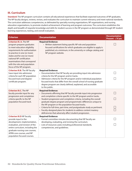## **III. Curriculum**

**Standard:** The NP program curriculum contains all educational experiences that facilitate expected outcomes of NP graduates. The NP faculty designs, reviews, revises, and evaluates the curriculum to maintain current relevancy and meet national standards. The curriculum addresses competencies, as delineated by specialty nursing organizations, NP organizations, and nursing education organizations, to promote student achievement of learning and program outcomes. The curriculum establishes the depth and breadth of requisite knowledge and skills for student success in the NP program as demonstrated through NP student learning experiences, testing, and overall evaluation.

| <b>Criterion</b>                                                                                                                                                                                                                                                                                                          | <b>Documentation</b>                                                                                                                                                                                                                                        | <b>Documentation</b><br>Present - $\sqrt{ }$ if yes |
|---------------------------------------------------------------------------------------------------------------------------------------------------------------------------------------------------------------------------------------------------------------------------------------------------------------------------|-------------------------------------------------------------------------------------------------------------------------------------------------------------------------------------------------------------------------------------------------------------|-----------------------------------------------------|
| <b>Criterion III. A. The NP</b><br>program prepares graduates<br>to meet education eligibility<br>requirements for authorization<br>to practice in one (or more)<br>states and for one (or more)<br>national NP certification<br>examinations that correspond<br>with the role and population<br>focus of the NP program. | <b>Required Evidence:</b><br>• Written statement listing specific NP role and population<br>focused certifications for which graduates are eligible to apply is<br>published, at a minimum, in the university or college catalog and<br>NP program website. |                                                     |
| <b>Criterion III.B.</b> The NP faculty<br>have input into admission<br>criteria for each NP population                                                                                                                                                                                                                    | <b>Required Evidence:</b><br>• Documentation that NP faculty are providing input into admission<br>criteria for the NP program and/or tracks.                                                                                                               |                                                     |
| focused track and degree/<br>certificate program.                                                                                                                                                                                                                                                                         | • Admission criteria for the NP program and/or individual population<br>focused tracks that differ from the overall school of nursing graduate<br>degree program are clearly defined, explained, and accessible<br>to the public.                           |                                                     |
| <b>Criterion III.C.</b> The NP<br>faculty provide input for any                                                                                                                                                                                                                                                           | <b>Required Evidence:</b><br>• Documents affirming that NP faculty provide input into progression                                                                                                                                                           |                                                     |
| progression and completion<br>criteria specific to the NP                                                                                                                                                                                                                                                                 | and completion criteria specific to the NP program and/or tracks.<br>• Student progression and completion criteria, including the overall                                                                                                                   |                                                     |
| population focused track.                                                                                                                                                                                                                                                                                                 | graduate degree program and programmatic differences unique to<br>the NP program or the population focused tracks.                                                                                                                                          |                                                     |
|                                                                                                                                                                                                                                                                                                                           | • Criteria for full-time, part-time, and postgraduate study as pertinent.<br>• Faculty-designed plans for students to address content mastery<br>deficiencies that adversely affect student progression.                                                    |                                                     |
| <b>Criterion III.D NP faculty</b><br>provide input to the                                                                                                                                                                                                                                                                 | <b>Required Evidence:</b><br>• Formal committee minutes documenting that NP faculty are                                                                                                                                                                     |                                                     |
| development, implementation,                                                                                                                                                                                                                                                                                              | developing, evaluating, and revising the curriculum.                                                                                                                                                                                                        |                                                     |
| evaluation, and revision of the<br>entire curriculum, including the                                                                                                                                                                                                                                                       | • Lists of resources used, including professional standards,<br>competencies, and guidelines.                                                                                                                                                               |                                                     |
| graduate nursing core courses,                                                                                                                                                                                                                                                                                            |                                                                                                                                                                                                                                                             |                                                     |
| APRN core courses, and NP                                                                                                                                                                                                                                                                                                 |                                                                                                                                                                                                                                                             |                                                     |
| population focused courses.                                                                                                                                                                                                                                                                                               |                                                                                                                                                                                                                                                             |                                                     |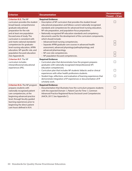| <b>Criterion</b>                                                                                                                                                                                                                                                                                | <b>Documentation</b>                                                                                                                                                                                                                                                                                                                                                                                                                                         | <b>Documentation</b><br>Present - $\sqrt{ }$ if yes |
|-------------------------------------------------------------------------------------------------------------------------------------------------------------------------------------------------------------------------------------------------------------------------------------------------|--------------------------------------------------------------------------------------------------------------------------------------------------------------------------------------------------------------------------------------------------------------------------------------------------------------------------------------------------------------------------------------------------------------------------------------------------------------|-----------------------------------------------------|
| <b>Criterion III.E. The NP</b><br>curriculum provides the student<br>broad-based, comprehensive<br>graduate educational<br>preparation for the role<br>and at least one population<br>focused area of study. The<br>curriculum is consistent with                                               | <b>Required Evidence:</b><br>• Description of NP curriculum that provides the student broad<br>educational preparation and follows current nationally recognized<br>standards and competencies for advanced-level nursing education,<br>NP role preparation, and population focus preparation.<br>• Nationally recognized NP education standards and competency<br>documents used for the development of the curriculum components,<br>which should include: |                                                     |
| and meets national standards/<br>competencies for graduate-<br>level nursing education, APRN<br>education, NP specific role, and                                                                                                                                                                | - Advanced-level nursing competencies.<br>- Separate APRN graduate core courses in advanced health<br>assessment, advanced physiology/pathophysiology, and<br>advanced pharmacology.                                                                                                                                                                                                                                                                         |                                                     |
| population focused education<br>(See Appendix B).                                                                                                                                                                                                                                               | - NP core role competencies.<br>- NP population focused competencies.                                                                                                                                                                                                                                                                                                                                                                                        |                                                     |
| <b>Criterion III.F. The NP</b><br>curriculum includes<br>interprofessional educational                                                                                                                                                                                                          | <b>Required Evidence:</b><br>• Curriculum plan that demonstrates how the program prepares<br>graduates with nationally recognized interprofessional (IP)<br>education competencies.                                                                                                                                                                                                                                                                          |                                                     |
| experiences (IPE).                                                                                                                                                                                                                                                                              | • Curriculum plan that includes NP students' didactic and/or clinical<br>experiences with other health professions students.                                                                                                                                                                                                                                                                                                                                 |                                                     |
|                                                                                                                                                                                                                                                                                                 | • Student logs, reflections, and evaluation of learning experiences that<br>demonstrate integration of IP experiences or documentation of IP<br>scholarly work.                                                                                                                                                                                                                                                                                              |                                                     |
| <b>Criterion III.G.</b> The NP program<br>prepares students with<br>nationally recognized patient<br>care competencies, at the<br>beginning advanced-practice<br>level, through faculty-guided<br>learning experiences prior to<br>beginning the direct patient<br>care hours defined in III.H. | <b>Required Evidence:</b><br>• Documentation that illustrates how the curriculum prepares students<br>with the expected Domain 1, Patient Care for Time 1, Common<br>Advanced Practice Registered Nurse Doctoral-Level Competencies<br>(AACN, 2017; See Appendix C).                                                                                                                                                                                         |                                                     |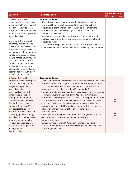| <b>Criterion</b>                                                                                                                                                                                                                                                                                                                                                                                                                                                                                                                                                                                                                             | <b>Documentation</b>                                                                                                                                                                                                                                                                                                                                                                                                                                                                                                                                                                                                                                        | <b>Documentation</b><br>Present - $\sqrt{}$ if yes |
|----------------------------------------------------------------------------------------------------------------------------------------------------------------------------------------------------------------------------------------------------------------------------------------------------------------------------------------------------------------------------------------------------------------------------------------------------------------------------------------------------------------------------------------------------------------------------------------------------------------------------------------------|-------------------------------------------------------------------------------------------------------------------------------------------------------------------------------------------------------------------------------------------------------------------------------------------------------------------------------------------------------------------------------------------------------------------------------------------------------------------------------------------------------------------------------------------------------------------------------------------------------------------------------------------------------------|----------------------------------------------------|
| <b>Criterion III.H. The NP</b><br>population focused track has a<br>minimum of 750 direct patient<br>care clinical hours to prepare<br>the graduate with competencies<br>for full scope of NP population<br>focused practice.<br>Direct patient care clinical<br>hours may include student<br>provision of care delivered to<br>the patient through telehealth<br>and global health experiences.<br>Simulation is not direct patient<br>care, and these hours may not<br>be included in the 750 direct<br>patient care total. Time spent<br>attaining the competencies<br>addressed in Criterion III.G are<br>not included in the 750 direct | <b>Required Evidence:</b><br>• Description of courses that show distribution of direct patient<br>care clinical hours in each course and the area(s) of practice or<br>population(s) being addressed in each course that prepare the<br>graduate with the nationally recognized NP and population<br>focused competencies.<br>• Faculty review of students' clinical encounters for breadth, depth,<br>and type to ensure students have experiences across the role and<br>population focus.<br>Description and expected outcomes of telehealth and global health<br>$\bullet$<br>experiences if those hours are included in the direct patient care total. |                                                    |
| patient care clinical hours.                                                                                                                                                                                                                                                                                                                                                                                                                                                                                                                                                                                                                 |                                                                                                                                                                                                                                                                                                                                                                                                                                                                                                                                                                                                                                                             |                                                    |
| <b>Criterion III.I.</b> The NP<br>curriculum reflects appropriate<br>course sequencing and the<br>integration of population<br>focused didactic                                                                                                                                                                                                                                                                                                                                                                                                                                                                                              | <b>Required Evidence:</b><br>• The full- and part-time program of study including didactic and clinical<br>courses designed with a logical course sequencing and prerequisites<br>to promote achievement of APRN, NP role, and population focus                                                                                                                                                                                                                                                                                                                                                                                                             |                                                    |
| and clinical courses with<br>continuous progression                                                                                                                                                                                                                                                                                                                                                                                                                                                                                                                                                                                          | competencies across the curriculum (See Appendix B).<br>• Program of study with advanced-level nursing core courses preceding<br>or simultaneous with the direct care NP and population focused                                                                                                                                                                                                                                                                                                                                                                                                                                                             |                                                    |
| throughout the program.<br>The NP curriculum requires<br>that students successfully<br>complete the three APRN<br>core courses (advanced                                                                                                                                                                                                                                                                                                                                                                                                                                                                                                     | courses and clinical experiences as evidenced in the program of study.<br>• Documentation that the three APRN core courses (advanced health<br>assessment, advanced physiology/pathophysiology, and advanced<br>pharmacology) precede NP population coursework that focuses on<br>diagnosis and management of health problems (i.e., not                                                                                                                                                                                                                                                                                                                    |                                                    |
| health assessment, advanced<br>physiology/pathophysiology,<br>and advanced pharmacology)                                                                                                                                                                                                                                                                                                                                                                                                                                                                                                                                                     | concurrent with).<br>• Clinical placements aligned with the student's program of study to<br>provide learning opportunities for meeting course and                                                                                                                                                                                                                                                                                                                                                                                                                                                                                                          |                                                    |
| prior to progressing to the<br>NP population coursework<br>that focuses on diagnosis and<br>management of<br>health problems.                                                                                                                                                                                                                                                                                                                                                                                                                                                                                                                | program objectives.<br>• Curriculum map of overall NP program and individual tracks.<br>• Plan for student progression and timely completion following a break<br>in the program of study.                                                                                                                                                                                                                                                                                                                                                                                                                                                                  |                                                    |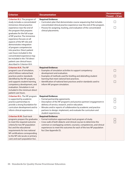| <b>Criterion</b>                                                                                                                                                                                                                                                                                                                                                                                                                                                                                                                                     | <b>Documentation</b>                                                                                                                                                                                                                                                                                                                                      | <b>Documentation</b><br>Present - $\sqrt{ }$ if yes |
|------------------------------------------------------------------------------------------------------------------------------------------------------------------------------------------------------------------------------------------------------------------------------------------------------------------------------------------------------------------------------------------------------------------------------------------------------------------------------------------------------------------------------------------------------|-----------------------------------------------------------------------------------------------------------------------------------------------------------------------------------------------------------------------------------------------------------------------------------------------------------------------------------------------------------|-----------------------------------------------------|
| <b>Criterion III.J.</b> The program of<br>study includes a concentrated/<br>immersive clinical practice<br>experience near the end of<br>the program that prepares<br>graduates for the full scope<br>of NP practice. The immersive<br>experience focuses on all<br>aspects of the NP role and<br>demonstrates integration<br>of program competencies<br>into practice. Direct patient<br>care hours included in the<br>concentrated experience may<br>be included in the 750 direct<br>patient care clinical hours<br>described in Criterion III.H. | <b>Required Evidence:</b><br>• Curriculum plan that demonstrates course sequencing that includes<br>concentrated clinical practice experience near the end of the program.<br>• Process for assigning, tracking, and evaluation of the concentrated<br>clinical placements.                                                                               |                                                     |
| <b>Criterion III.K. The NP</b><br>program's use of simulation,<br>which follows national best<br>practices and/or standards<br>identified by the NP program,<br>and supports student learning,<br>competency development, and<br>evaluation. Simulation is not<br>included in the minimum direct<br>patient care hours.                                                                                                                                                                                                                              | <b>Required Evidence:</b><br>• Examples of simulation activities to support competency<br>development and evaluation.<br>• Examples of methods used for briefing and debriefing student<br>learning that meet national best practices.<br>• Identification of national best practices and/or standards used to<br>inform NP program simulation.           |                                                     |
| <b>Criterion III.L.</b> The NP program<br>is supported by academic<br>practice partnerships to<br>provide a strong foundation for<br>curriculum development and to<br>inform clinical experiences.                                                                                                                                                                                                                                                                                                                                                   | <b>Required Evidence:</b><br>• Formal partnership agreements.<br>• Description of the NP program's and practice partners' engagement in<br>delivery of service, research, and/or education.<br>Minutes and/or reports of collaboration by academic and practice<br>partners to design, implement, and evaluate the curriculum and<br>student experiences. |                                                     |
| <b>Criterion III.M. Dual-track</b><br>programs prepare the graduates<br>to meet the required outcome<br>criteria for two NP population<br>foci and the educational<br>requirements for two national<br>NP certifications corresponding<br>to the NP role (acute or primary<br>care) and each population foci.                                                                                                                                                                                                                                        | <b>Required Evidence:</b><br>• Formal institution-approved dual-track program of study.<br>• Cross walk of both didactic and clinical courses to determine the<br>common or overlapping content, course(s), competencies, and clinical<br>experiences to meet the outcomes for each of the two NP population<br>foci (See Appendix D).                    |                                                     |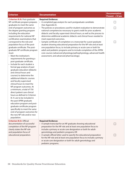| <b>Criterion</b>                                                                                                                                                                                                                                                                                                                                                                                                                                                                                                                                                                                                                                                                                                                                                                                                                                                                                                                                                                                                                                                                                                      | <b>Documentation</b>                                                                                                                                                                                                                                                                                                                                                                                                                                                                                                                                                                                                                                                                                                                                                                                                                                        | <b>Documentation</b><br>Present - $\sqrt{ }$ if yes |
|-----------------------------------------------------------------------------------------------------------------------------------------------------------------------------------------------------------------------------------------------------------------------------------------------------------------------------------------------------------------------------------------------------------------------------------------------------------------------------------------------------------------------------------------------------------------------------------------------------------------------------------------------------------------------------------------------------------------------------------------------------------------------------------------------------------------------------------------------------------------------------------------------------------------------------------------------------------------------------------------------------------------------------------------------------------------------------------------------------------------------|-------------------------------------------------------------------------------------------------------------------------------------------------------------------------------------------------------------------------------------------------------------------------------------------------------------------------------------------------------------------------------------------------------------------------------------------------------------------------------------------------------------------------------------------------------------------------------------------------------------------------------------------------------------------------------------------------------------------------------------------------------------------------------------------------------------------------------------------------------------|-----------------------------------------------------|
| <b>Criterion III.N. Post-graduate</b><br>NP certificate program prepares<br>graduates to meet the same<br>end-of-program outcomes as<br>the degree granting program<br>including the education<br>requirements for national NP<br>certification examinations that<br>correspond to the role and<br>population focus of the post-<br>graduate certificate. The post-<br>graduate NP certificate program<br>must:<br>• Meet the institution's<br>requirements for granting a<br>post-graduate certificate.<br>· Include for each student a<br>formal gap analysis of past<br>graduate education (didactic<br>and clinical hours and<br>courses) to determine the<br>additional didactic courses<br>and faculty supervised<br>clinical hours to meet the<br>NP program outcomes. At<br>a minimum, a total of 750<br>direct patient care clinical<br>hours as defined in Criterion<br>III. H. are to be included in<br>the past APRN graduate<br>education program and post-<br>graduate certificate program<br>specifically to meet the same<br>end-of-program outcomes for<br>the new NP role and/or new<br>population. | <b>Required Evidence:</b><br>• A completed gap analysis for each postgraduate candidate<br>(See Appendix E).<br>• The policies or procedures used for student evaluation to demonstrate<br>national competencies necessary to grant credit for prior academic<br>didactic and faculty supervised clinical hours, as well as the process to<br>determine additional academic didactic and clinical hours needed to<br>meet expected outcomes.<br>• Sample certificate of completion or a transcript for a post-graduate<br>student showing educational preparation for the NP role and at least<br>one population focus, to include primary or acute care or both for<br>adult and pediatric programs and to include completion of the APRN<br>core courses (advanced physiology/pathophysiology, advanced health<br>assessment, and advanced pharmacology). |                                                     |
| <b>Criterion III.O. Official</b><br>documentation of successful<br>completion of the NP program<br>clearly states the NP role<br>and population focus of<br>educational preparation.                                                                                                                                                                                                                                                                                                                                                                                                                                                                                                                                                                                                                                                                                                                                                                                                                                                                                                                                  | <b>Required Evidence:</b><br>• A sample transcript for an NP graduate showing educational<br>preparation for the NP role and at least one population focus to<br>include a primary or acute care designation or both for adult-<br>gerontology and pediatric programs OR<br>• A sample official letter used to specify the educational preparation<br>for the NP role and at least one population focus to include a primary<br>or acute care designation or both for adult-gerontology and<br>pediatric programs.                                                                                                                                                                                                                                                                                                                                          |                                                     |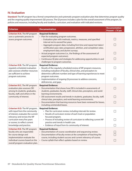## **IV. Evaluation**

**Standard:** The NP program has a formal comprehensive and systematic program evaluation plan that determines program quality and the ongoing quality improvement (QI) process. The QI process includes a plan for the overall assessment of the program, its policies and resources, including faculty and students, curriculum, and evaluation with indicated revisions.

| <b>Criterion</b>                                                                                                                                                                                    | <b>Documentation</b>                                                                                                                                                                                                                                                                              | <b>Documentation</b><br>Present - $\sqrt{ }$ if yes |
|-----------------------------------------------------------------------------------------------------------------------------------------------------------------------------------------------------|---------------------------------------------------------------------------------------------------------------------------------------------------------------------------------------------------------------------------------------------------------------------------------------------------|-----------------------------------------------------|
| <b>Criterion IV.A.</b> The NP program<br>uses a systematic process to<br>assess program outcomes.                                                                                                   | <b>Required Evidence:</b><br>• Plan for evaluating program outcomes.<br>- Evaluation plan with methods, metrics, measures, and specified<br>interval not to exceed five years.                                                                                                                    |                                                     |
|                                                                                                                                                                                                     | - Aggregate program data, including first-time and repeat test takers'<br>certification pass rates; progression, attrition, and completion rates;                                                                                                                                                 |                                                     |
|                                                                                                                                                                                                     | employment data; and alumni surveys.<br>• Actual program outcomes (i.e., the findings of the assessment of<br>expected program outcomes).                                                                                                                                                         |                                                     |
|                                                                                                                                                                                                     | • Continuous QI plan and strategies for addressing opportunities in and<br>challenges to program outcomes.                                                                                                                                                                                        |                                                     |
| <b>Criterion IV.B.</b> The NP program<br>regularly scheduled evaluation<br>plan assesses whether resources<br>are sufficient to achieve<br>program outcomes.                                        | <b>Required Evidence:</b><br>• Results of the regularly scheduled review of NP program resources,<br>including evaluation of faculty, clinical sites, and preceptors to<br>determine sufficient number and type of learning experiences to meet<br>program outcomes.                              |                                                     |
|                                                                                                                                                                                                     | • Implementation of ongoing QI processes to address concerns,<br>deficiencies, and gaps.                                                                                                                                                                                                          |                                                     |
| <b>Criterion IV.C.</b> The NP program<br>evaluation plan assesses DEI<br>among its students, graduates,<br>faculty, staff, and others in the                                                        | <b>Required Evidence:</b><br>• Documentation that shows how DEI is included in assessments of<br>students, graduates, faculty, staff, clinical sites, preceptors, and work/<br>learning environments.                                                                                             |                                                     |
| community of interest.                                                                                                                                                                              | DEI assessment results and trends in students, graduates, faculty, staff,<br>clinical sites, preceptors, and work/learning environments.                                                                                                                                                          |                                                     |
|                                                                                                                                                                                                     | • Documentation that learning resources have been reviewed for biases,<br>including unintended biases.                                                                                                                                                                                            |                                                     |
| <b>Criterion IV.D.</b> The NP program,<br>with input from the community<br>of interest, evaluates the current<br>relevancy and revises the NP                                                       | <b>Required Evidence:</b><br>• Plan for curriculum review, including intervals for review.<br>• Results of curriculum review of each track or population<br>focused program.                                                                                                                      |                                                     |
| curriculum every five years<br>or sooner, to reflect current                                                                                                                                        | • Process of including review of curriculum to reflecting current NP<br>practice and trends in health care.                                                                                                                                                                                       |                                                     |
| knowledge and practice.                                                                                                                                                                             | • Evidence of input from its community of interest.                                                                                                                                                                                                                                               |                                                     |
| <b>Criterion IV.E.</b> The NP program<br>faculty who are responsible<br>for course design and<br>implementation evaluate the<br>individual courses based on the<br>overall program evaluation plan. | <b>Required Evidence:</b><br>• Documentation of course coordination and sequencing review.<br>• Documentation of faculty review at the completion of teaching the<br>course, including student success and current relevancy of course.<br>• Course syllabi that reflect updates based on review. |                                                     |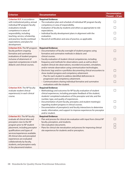| <b>Criterion</b>                                                                                           | <b>Documentation</b>                                                                                                                                                                                                                                                      | <b>Documentation</b><br>Present - $\sqrt{ }$ if yes |
|------------------------------------------------------------------------------------------------------------|---------------------------------------------------------------------------------------------------------------------------------------------------------------------------------------------------------------------------------------------------------------------------|-----------------------------------------------------|
| <b>Criterion IV.F. In accordance</b><br>with institutional policy, annual<br>individual NP program faculty | <b>Required Evidence:</b><br>• The evaluation plan and schedule of individual NP program faculty<br>competency in area of responsibility.                                                                                                                                 |                                                     |
| evaluations include<br>competence in areas of                                                              | • Evaluation of faculty by students and others as appropriate to role<br>expectations.                                                                                                                                                                                    |                                                     |
| responsibility, including<br>teaching, service, scholarship,                                               | • Individual faculty development plans in alignment with the<br>evaluation.                                                                                                                                                                                               |                                                     |
| and practice; faculty workload<br>expectations; and plans for<br>development.                              | • Record of certification and area of practice, as applicable.                                                                                                                                                                                                            |                                                     |
| <b>Criterion IV.G.</b> The NP program                                                                      | <b>Required Evidence:</b>                                                                                                                                                                                                                                                 |                                                     |
| faculty perform ongoing<br>formative and summative<br>evaluations of student progress                      | • Documentation of faculty oversight of student progress using<br>formative and summative methods in didactic and<br>clinical courses.                                                                                                                                    |                                                     |
| inclusive of attainment of<br>expected competencies in both<br>didactic and clinical courses.              | • Faculty evaluation of student clinical competencies, including<br>frequency and methods for observations used, as well as direct<br>student clinical site observations, recorded encounters, simulation,<br>and/or remote observation using communication technologies. |                                                     |
|                                                                                                            | • Electronic logs and/or e-portfolios documenting clinical encounters to<br>show student progress and competency attainment.                                                                                                                                              |                                                     |
|                                                                                                            | - Plan for each student to address identified deficiencies in<br>progression and competency attainment.                                                                                                                                                                   |                                                     |
|                                                                                                            | - Communications sharing individual formative and summative<br>evaluations with the student.                                                                                                                                                                              |                                                     |
| <b>Criterion IV.H.</b> The NP faculty                                                                      | <b>Required Evidence:</b>                                                                                                                                                                                                                                                 |                                                     |
| evaluate student clinical<br>experience(s) in each clinical<br>course.                                     | • Methodology and outcomes for NP faculty evaluation of student<br>clinical experiences, including preceptor feedback of the student;<br>students' completed evaluations of the preceptor and site; and the                                                               |                                                     |
|                                                                                                            | number, type, and quality of experiences.<br>Documentation of joint faculty, preceptor, and student meeting(s)                                                                                                                                                            |                                                     |
|                                                                                                            | regarding student progress in clinical courses.<br>• Documentation of preceptor(s) and faculty interactions to determine                                                                                                                                                  |                                                     |
|                                                                                                            | needs, information, and support to improve experiences for preceptor<br>and/or student.                                                                                                                                                                                   |                                                     |
| <b>Criterion IV.I.</b> The NP faculty                                                                      | <b>Required Evidence:</b>                                                                                                                                                                                                                                                 |                                                     |
| evaluate all clinical sites and<br>preceptors new to the NP                                                | • Plan and process for clinical site evaluation with input from clinical NP<br>faculty, preceptors, and students.                                                                                                                                                         |                                                     |
| program prior to NP student                                                                                | · Site evaluation documents.                                                                                                                                                                                                                                              |                                                     |
| placement, including preceptor<br>qualifications and types of                                              | • Plans for clinical site reevaluation and process for improving clinical<br>site experiences for students and/or preceptors.                                                                                                                                             |                                                     |
| services/experiences available.<br>All clinical sites and precepted                                        |                                                                                                                                                                                                                                                                           |                                                     |
| experiences are evaluated<br>collaboratively by faculty,                                                   |                                                                                                                                                                                                                                                                           |                                                     |
| students, and preceptors early<br>in the placement/rotation.                                               |                                                                                                                                                                                                                                                                           |                                                     |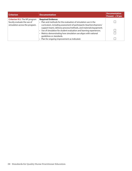| <b>Criterion</b>                                                                                       | <b>Documentation</b>                                                                                                                                                                                                                     | <b>Documentation</b><br>Present - $\sqrt{ }$ if yes |
|--------------------------------------------------------------------------------------------------------|------------------------------------------------------------------------------------------------------------------------------------------------------------------------------------------------------------------------------------------|-----------------------------------------------------|
| <b>Criterion IV.J.</b> The NP program<br>faculty evaluate the use of<br>simulation across the program. | <b>Required Evidence:</b><br>• Plan and methods for the evaluation of simulation use in the<br>curriculum, including assessment of participants (teachers/learners/                                                                      |                                                     |
|                                                                                                        | support team), delivery process/methods, and materials/equipment.<br>• Use of simulation for student evaluation and learning experiences.<br>• Metrics demonstrating how simulation use aligns with national<br>guidelines or standards. |                                                     |
|                                                                                                        | • Plan for ongoing improvement as indicated.                                                                                                                                                                                             |                                                     |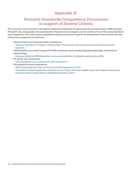# Appendix B:

## <span id="page-39-0"></span>National Standards/Competency Documents in support of Several Criteria

The curriculum is to be consistent with national standards/competencies for advanced-level nursing education, APRN education, NP specific role, and population focused education. Programs are encouraged to use the current version of the national standards and competencies. The current national standards/competency documents used for the development of the curriculum for each of these four components are listed here.

- Advanced-level core nursing education competencies
	- [American Association of Colleges of Nursing \(2021\). The Essentials: Core Competencies for Professional Nursing](https://www.aacnnursing.org/Portals/42/AcademicNursing/pdf/Essentials-2021.pdf)  [Education.](https://www.aacnnursing.org/Portals/42/AcademicNursing/pdf/Essentials-2021.pdf)
- APRN graduate core courses in advanced health assessment, advanced physiology/pathophysiology, and advanced pharmacology
	- [Consensus Model for APRN Regulation: Licensure, Accreditation, Certification and Education \(2008\)](https://www.aacnnursing.org/Portals/42/AcademicNursing/pdf/APRNReport.pdf)
- NP specific role competencies
	- [Nurse Practitioner Core Competencies with Content \(2017\)](https://cdn.ymaws.com/www.nonpf.org/resource/resmgr/competencies/2017_NPCoreComps_with_Curric.pdf)
- NP population focused competencies
	- [Adult Gerontology Acute Care and Primary Care NP Competencies \(2016\)](https://cdn.ymaws.com/www.nonpf.org/resource/resmgr/competencies/NP_Adult_Geri_competencies_4.pdf)
	- [Population Focused Competencies: Family/Across the Lifespan, Neonatal, Pediatric Acute Care, Pediatric Primary Care,](https://cdn.ymaws.com/www.nonpf.org/resource/resmgr/Competencies/CompilationPopFocusComps2013.pdf)  [Psychiatric Mental Health, Women's Health/Gender Related. \(2012\)](https://cdn.ymaws.com/www.nonpf.org/resource/resmgr/Competencies/CompilationPopFocusComps2013.pdf)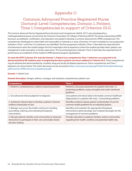# Appendix C:

## <span id="page-40-0"></span>Common Advanced Practice Registered Nurse Doctoral-Level Competencies, Domain 1, Patient, Time 1 Competencies in support of Criterion III.G.

*The Common Advanced Practice Registered Nurse Doctoral-Level Competencies* (AACN, 2017) were developed by a multiorganizational group convened by the American Association of Colleges of Nursing (AACN). The group representing APRN licensure, accreditation, certification, and education was tasked to develop a common taxonomy for APRN competencies. The competencies developed are observable and measurable in 8 domains or areas of practice. For each competency, two progression indicators (Time 1 and Time 2) or behaviors are identified. The first progression indicator (Time 1) describes the expected level of achievement when the student begins the first meaningful clinical experience where the student provides direct patient care management under preceptor or faculty supervision. The second progression indicator (Time 2) describes the expected level of performance at completion of the student's APRN doctoral program (graduation).

**To meet the NTFS Criterion III F only the Domain 1: Patient Care competencies Time 1 behaviors are expected to be demonstrated by NP students prior to beginning the direct patient care hours defined in Criterion III.G**. These competencies may be attained and demonstrated by a student using any faculty facilitated experiences. These competencies and Time 1 behaviors are shown below. The entire document can be accessed at [https://www.aacnnursing.org/Portals/42/AcademicNursing/](https://www.aacnnursing.org/Portals/42/AcademicNursing/pdf/Common-APRN-Doctoral-Competencies.pdf) [pdf/Common-APRN-Doctoral-Competencies.pdf.](https://www.aacnnursing.org/Portals/42/AcademicNursing/pdf/Common-APRN-Doctoral-Competencies.pdf) 

#### **Domain 1:** Patient Care

| <b>Competency</b>                                                                                                                          | Time 1                                                                                                                                               |
|--------------------------------------------------------------------------------------------------------------------------------------------|------------------------------------------------------------------------------------------------------------------------------------------------------|
| 1. Perform a comprehensive, evidence-based assessment.                                                                                     | Performs a focused assessment of a patient with only 1-2<br>presenting problems, using a template and under mentored<br>quidance.                    |
| 2. Use advanced clinical judgment to diagnose.                                                                                             | Uses patient and clinical data to formulate common healthcare<br>diagnosis(es) in a patient with only 1-2 presenting problems.                       |
| 3. Synthesize relevant data to develop a patient-centered<br>evidence-based plan of care.                                                  | Identifies evidence-based, patient-centered plan of care for<br>common health problems for an individual patient.                                    |
| 4. Manage care across the health continuum including<br>prescribing, ordering, and evaluating therapeutic<br>interventions.                | Identifies and evaluates the appropriate therapeutic<br>interventions (pharmacologic and nonpharmacologic) for the<br>management of common problems. |
| 5. Educate patients, families, and communities to empower<br>themselves to participate in their care and enable shared<br>decision making. | Provides education to patients, families, and/or communities<br>regarding their health condition and potential health risks.                         |

**Domain Descriptor:** Designs, delivers, manages, and evaluates comprehensive patient care.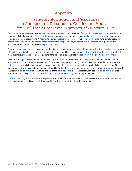# Appendix D:

# <span id="page-41-0"></span>General Information and Guidelines to Conduct and Document a Curriculum Analysis for Dual Track Programs in support of Criterion III. M.

[Dual track programs](#page-19-6) prepare the graduates to meet the required outcome criteria for two NP [population foci](#page-20-3) and the educational requirements for two national NP [certifications](#page-18-1) corresponding to the NP role(s) and [population foci.](#page-20-3) [Dual track](#page-19-6) NP students are required to demonstrate national NP [competencies](#page-18-2) and [program outcomes](#page-20-1) for two separate [NP tracks](#page-20-9) (for example, pediatric primary care and pediatric acute care, or family across the lifespan and psych/mental health), completing required coursework and clinical hours for each of the chosen [population foci.](#page-20-3)

Conducting a [gap analysis](#page-19-5) is a critical step to identify the overlap in courses and faculty supervised [clinical hours](#page-18-7) between the two [NP tracks](#page-20-9)/[population foci](#page-20-3) and then to determine the courses and faculty supervised [clinical hours](#page-18-7) the student must complete to meet the institutional and program requirements to be eligible for national NP [certification](#page-18-1) in the two NP [population foci.](#page-20-3)

To conduct the [gap analysis](#page-19-5), the [NP program faculty](#page-20-11) must evaluate the course(s) and [clinical hours](#page-18-7) required in each track. The analysis should consist of a thorough review of the source documents, including but not limited to course descriptions, course objectives, and/or syllabi, to determine crossover or overlapping courses and/or faculty supervised [clinical hours](#page-18-7), if any. If faculty supervised clinical hours meet the requirements and fall within the scope of practice of both tracks, they may be counted toward the required [clinical hours](#page-18-7) for each track. If either of the [population foci](#page-20-3) cross the lifespan, courses and [clinical hours](#page-18-7) required must address the lifespan as well as the full scope of practice for the role(s) and both populations.

The [dual track program](#page-19-6) must meet the requirements for each of the NP focused tracks - especially as they relate to the minimum number of required credits per track designated by the [institution](#page-20-6) or state licensing authority.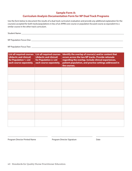## **Sample Form A: Curriculum Analysis Documentation Form for NP Dual Track Programs**

<span id="page-42-0"></span>Use the form below to document the results of a dual track curriculum evaluation and provide any additional explanation for the course(s) accepted for both tracks/populations in lieu of an APRN core course or population focused course as equivalent to a similar course in the other track curriculum.

| <b>Student Name:</b>     |  |  |
|--------------------------|--|--|
|                          |  |  |
| NP Population Focus One: |  |  |

NP Population Focus Two: \_\_\_\_\_\_\_\_\_\_\_\_\_\_\_\_\_\_\_\_\_\_\_\_\_\_\_\_\_\_\_\_\_\_\_\_\_\_\_\_\_\_\_\_\_\_\_\_\_\_\_\_\_\_\_\_\_\_\_\_\_\_\_\_\_\_\_\_\_\_\_\_\_\_\_\_\_\_\_\_\_\_\_\_\_

| <b>List all required courses</b><br>(didactic and clinical)<br>for Population 1. List<br>each course separately. | <b>List all required courses</b><br>(didactic and clinical)<br>for Population 2. List<br>each course separately. | Identify the overlap of course(s) and/or content that<br>occurs across the two NP tracks. Provide rationale<br>regarding the overlap. Include clinical experiences,<br>patient population, and practice settings addressed in<br>the courses. |
|------------------------------------------------------------------------------------------------------------------|------------------------------------------------------------------------------------------------------------------|-----------------------------------------------------------------------------------------------------------------------------------------------------------------------------------------------------------------------------------------------|
|                                                                                                                  |                                                                                                                  |                                                                                                                                                                                                                                               |
|                                                                                                                  |                                                                                                                  |                                                                                                                                                                                                                                               |
|                                                                                                                  |                                                                                                                  |                                                                                                                                                                                                                                               |
|                                                                                                                  |                                                                                                                  |                                                                                                                                                                                                                                               |
|                                                                                                                  |                                                                                                                  |                                                                                                                                                                                                                                               |
|                                                                                                                  |                                                                                                                  |                                                                                                                                                                                                                                               |
|                                                                                                                  |                                                                                                                  |                                                                                                                                                                                                                                               |
|                                                                                                                  |                                                                                                                  |                                                                                                                                                                                                                                               |

Program Director Printed Name **Program Director Signature** Program Director Signature

\_\_\_\_\_\_\_\_\_\_\_\_\_\_\_\_\_\_\_\_\_\_\_\_\_\_\_\_\_\_\_\_\_\_\_\_\_ \_\_\_\_\_\_\_\_\_\_\_\_\_\_\_\_\_\_\_\_\_\_\_\_\_\_\_\_\_\_\_\_\_\_\_\_\_\_ \_\_\_\_\_\_\_\_\_\_\_\_\_\_\_\_\_\_\_\_\_\_\_\_\_\_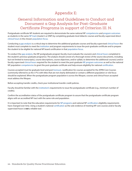# Appendix E:

# <span id="page-43-0"></span>General Information and Guidelines to Conduct and Document a Gap Analysis for Post-Graduate Certificate Programs in support of Criterion III. N.

Postgraduate certificate NP students are required to demonstrate the same national NP [competencies](#page-18-2) and [program outcomes](#page-20-1) as students in the same [NP track](#page-20-9) (master's or DNP) by completing graduate-level didactic courses and faculty-supervised direct [clinical hours](#page-18-7) in the chosen [population focus](#page-20-3).

Conducting a [gap analysis](#page-19-5) is a critical step to determine the additional graduate courses and faculty supervised [clinical hours](#page-18-7) the student must complete to meet the [institution](#page-20-6) and program requirements to issue the post-graduate certificate and to prepare the student to be eligible for national NP board certification in that [population focus](#page-20-3).

To conduct the [gap analysis](#page-19-5), the NP postgraduate program faculty must evaluate the course(s) and [clinical hours](#page-18-7) completed in the student's previous graduate program(s). The analysis should consist of a thorough review of the source documents, including but not limited to transcript(s), course descriptions, course objectives, and/or syllabi, to determine the additional course(s) and/or faculty supervised [clinical hours](#page-18-7) required for the student to meet the post-graduate [NP program outcomes](#page-20-13) as well as the national NP population [competencies](#page-18-2) to grant the post-graduate certificate and help ensure eligibility for national [certification.](#page-18-1)

Courses accepted must be graduate level and post [licensure.](#page-20-2) Justification for courses accepted for the APRN Core Courses (commonly referred to as the 3 P's) with titles that are not clearly delineated or contain a different population or role focus should be explained. When the postgraduate program population is across the lifespan, courses and clinical hours accepted must address the lifespan.

Before accepting transfer credits, check your institutional transfer credit policies.

Faculty should be familiar with the [institution's](#page-20-6) requirements to issue the postgraduate certificate (e.g., minimum number of credits).

Confirm the accreditation status of the postgraduate certificate program to assure that the postgraduate certificate program aligns with an accredited NP tract with the same role and population.

It is important to note that the education requirements for [NP programs](#page-20-0) and national NP [certification](#page-18-1) eligibility requirements have changed over time. Using a student's national [certification](#page-18-1) as the sole evidence of meeting NP core courses and/or faculty supervised hours is **not** a reliable tool.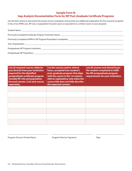## <span id="page-44-0"></span>**Sample Form B: Gap Analysis Documentation Form for NP Post-Graduate Certificate Programs**

Use the form below to document the results of your evaluation and provide any additional explanation for the course(s) accepted in lieu of an APRN core, NP role, or population focused course as equivalent to a similar course in your program.

| List all required courses (didactic<br>and clinical) from your institution<br>required for the identified<br>postgraduate certificate program<br>(include NP role and population<br>focused courses.) List each course<br>separately. | List the courses and/or clinical<br>hours, accepted from student's<br>prior graduate program that align<br>with the course in the 1st column.<br>Add an explanatory note when the<br>course title does not fully describe<br>the expected content. | <b>List all courses and clinical hours</b><br>the student completed to fulfill<br>the NP postgraduate program<br>requirements for your institution. |
|---------------------------------------------------------------------------------------------------------------------------------------------------------------------------------------------------------------------------------------|----------------------------------------------------------------------------------------------------------------------------------------------------------------------------------------------------------------------------------------------------|-----------------------------------------------------------------------------------------------------------------------------------------------------|
|                                                                                                                                                                                                                                       |                                                                                                                                                                                                                                                    |                                                                                                                                                     |
|                                                                                                                                                                                                                                       |                                                                                                                                                                                                                                                    |                                                                                                                                                     |
|                                                                                                                                                                                                                                       |                                                                                                                                                                                                                                                    |                                                                                                                                                     |
|                                                                                                                                                                                                                                       |                                                                                                                                                                                                                                                    |                                                                                                                                                     |
|                                                                                                                                                                                                                                       |                                                                                                                                                                                                                                                    |                                                                                                                                                     |
|                                                                                                                                                                                                                                       |                                                                                                                                                                                                                                                    |                                                                                                                                                     |
|                                                                                                                                                                                                                                       |                                                                                                                                                                                                                                                    |                                                                                                                                                     |

Program Director Printed Name **Program Director Signature** Program Director Signature

\_\_\_\_\_\_\_\_\_\_\_\_\_\_\_\_\_\_\_\_\_\_\_\_\_\_\_\_\_\_\_\_\_\_\_\_\_ \_\_\_\_\_\_\_\_\_\_\_\_\_\_\_\_\_\_\_\_\_\_\_\_\_\_\_\_\_\_\_\_\_\_\_\_\_\_ \_\_\_\_\_\_\_\_\_\_\_\_\_\_\_\_\_\_\_\_\_\_\_\_\_\_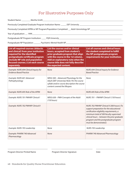# For Illustrative Purposes Only

|                                                                                                                                                                                                                                                                                                                                                                                                                                                                                                                                                                                                                                                    | Previously Completed APRN or NP Program/Population Completed: __ Adult-Gerontology NP ________________________                                                         |                                                                                                                                                                                                                                                                                                |  |  |
|----------------------------------------------------------------------------------------------------------------------------------------------------------------------------------------------------------------------------------------------------------------------------------------------------------------------------------------------------------------------------------------------------------------------------------------------------------------------------------------------------------------------------------------------------------------------------------------------------------------------------------------------------|------------------------------------------------------------------------------------------------------------------------------------------------------------------------|------------------------------------------------------------------------------------------------------------------------------------------------------------------------------------------------------------------------------------------------------------------------------------------------|--|--|
|                                                                                                                                                                                                                                                                                                                                                                                                                                                                                                                                                                                                                                                    |                                                                                                                                                                        |                                                                                                                                                                                                                                                                                                |  |  |
|                                                                                                                                                                                                                                                                                                                                                                                                                                                                                                                                                                                                                                                    |                                                                                                                                                                        |                                                                                                                                                                                                                                                                                                |  |  |
|                                                                                                                                                                                                                                                                                                                                                                                                                                                                                                                                                                                                                                                    |                                                                                                                                                                        |                                                                                                                                                                                                                                                                                                |  |  |
| List all required courses (didactic<br>List the courses and/or clinical<br><b>List all courses and clinical hours</b><br>and clinical) from your institution<br>hours, accepted from student's<br>the student completed to fulfill<br>required for the identified<br>prior graduate program that align<br>the NP postgraduate program<br>postgraduate certificate program<br>with the course in the 1st column.<br>requirements for your institution.<br>(include NP role and population<br>Add an explanatory note when the<br>focused courses.) List each course<br>course title does not fully describe<br>the expected content.<br>separately. |                                                                                                                                                                        |                                                                                                                                                                                                                                                                                                |  |  |
| Example: NURS 694 Clinical Inquiry for<br><b>Evidence Based Practice</b>                                                                                                                                                                                                                                                                                                                                                                                                                                                                                                                                                                           | None                                                                                                                                                                   | NURS 694 Clinical Inquiry for Evidence<br><b>Based Practice</b>                                                                                                                                                                                                                                |  |  |
| Example: NURS 601 Advanced<br>Pathophysiology                                                                                                                                                                                                                                                                                                                                                                                                                                                                                                                                                                                                      | NRSG 500 - Advanced Physiology for the<br>Adult (DEF University) Note: Per the course<br>syllabi and/or course description the course<br>content covered the lifespan. | None                                                                                                                                                                                                                                                                                           |  |  |
| Example: NURS 695 Role of the APRN                                                                                                                                                                                                                                                                                                                                                                                                                                                                                                                                                                                                                 | None                                                                                                                                                                   | NURS 695 Role of the APRN                                                                                                                                                                                                                                                                      |  |  |
| Example: NURS 701 PMHNP Clinical I                                                                                                                                                                                                                                                                                                                                                                                                                                                                                                                                                                                                                 | NRSG 638 - PMH Concepts of the Adult<br>(150 hours)                                                                                                                    | NURS 701 - PMHNP Clinical I (150 hours)                                                                                                                                                                                                                                                        |  |  |
| Example: NURS 702 PMHNP Clinical II                                                                                                                                                                                                                                                                                                                                                                                                                                                                                                                                                                                                                |                                                                                                                                                                        | NURS 702 PMHNP Clinical II (300 hours) (To<br>support preparation for the educational<br>certification eligibility requirements, a<br>minimum total of 500 faculty supervised<br>clinical hours - between the prior graduate<br>program and the postgraduate program<br>must be demonstrated.) |  |  |
| Example: NURS 705 Leadership                                                                                                                                                                                                                                                                                                                                                                                                                                                                                                                                                                                                                       | <b>None</b>                                                                                                                                                            | NURS 705 Leadership                                                                                                                                                                                                                                                                            |  |  |
| Example: PHARM 740 Advanced<br>Pharmacology                                                                                                                                                                                                                                                                                                                                                                                                                                                                                                                                                                                                        | None                                                                                                                                                                   | PHARM 740 Advanced Pharmacology                                                                                                                                                                                                                                                                |  |  |

Program Director Printed Name **Program Director Signature** Program Director Signature

\_\_\_\_\_\_\_\_\_\_\_\_\_\_\_\_\_\_\_\_\_\_\_\_\_\_\_\_\_\_\_\_\_\_\_\_\_ \_\_\_\_\_\_\_\_\_\_\_\_\_\_\_\_\_\_\_\_\_\_\_\_\_\_\_\_\_\_\_\_\_\_\_\_\_\_ \_\_\_\_\_\_\_\_\_\_\_\_\_\_\_\_\_\_\_\_\_\_\_\_\_\_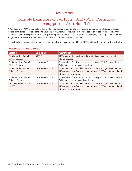# Appendix F

# <span id="page-46-0"></span>Sample Examples of Workload Unit (WLU) Formulas in support of Criterion II.C.

A Workload Unit (WLU) is a unit of academic effort that accounts for a variety of factors including number of students, course type and institutional expectations. The examples of WLU formulas shown here may be used to calculate overall faculty effort needed to teach the NP program. The WLU approach provides consistency, transparency, and equity in making faculty workload assignments. However, formulas used by individual schools vary and are acceptable.

Calculating WLUs requires determination of five variables, one recommended by the NTFS and four determined by the institution.

| <b>Variable</b>                                       | <b>Guided By</b>       | <b>Comments</b>                                                                                                                                                        |
|-------------------------------------------------------|------------------------|------------------------------------------------------------------------------------------------------------------------------------------------------------------------|
| Faculty: Student Ratio for<br>Clinical Courses        | <b>NTFS Criteria</b>   | NTF guidance is a maximum of 8 students per faculty member in<br>clinical courses                                                                                      |
| WLU:Credit Hour Ratio for<br><b>Clinical Courses</b>  | Institutional Policies | The number of clinical course credit hours per WLU. For example, one<br>WLU per 3 credit hours of clinical courses.                                                    |
| Faculty: Student Ratio for<br><b>Didactic Courses</b> | Institutional Policies | This expectation should be informed by the NTFS's guidance that the<br>NP program be staffed with a minimum of 1.0 FTE per 24 matriculated<br>students in the program. |
| WI U:Credit Hour Ratio for<br><b>Didactic Courses</b> | Institutional Policies | The number of didactic course credit hours per WLU. For example, one<br>WLU per 3 credit hours of didactic courses.                                                    |
| Total WLU Expected per<br>1.0 FTE                     | Institutional Policies | This expectation should be informed by the NTFS's guidance that the<br>NP program be staffed with a minimum of 1.0 FTE per 24 matriculated<br>students in the program. |

#### *Variables needed for all WLU formulas*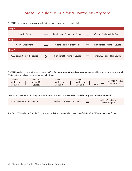# How to Calculate WLUs for a Course or Program

The WLU associated with **each course** is determined using a three step calculation.

| Step 1                        |           |                                        |          |                                    |
|-------------------------------|-----------|----------------------------------------|----------|------------------------------------|
| Hours in Course               | $\bullet$ | Credit Hours Per WLU for Course        | $\equiv$ | WLU per Section of the Course      |
| Step 2                        |           |                                        |          |                                    |
| Course Enrollment             | $\bullet$ | <b>Students Per Faculty for Course</b> |          | Number of Sections of Course       |
| Step 3                        |           |                                        |          |                                    |
| WLU per section of the course | Χ         | Number of Sections of Course           |          | <b>Total WLU Needed For Course</b> |

The WLU needed to determine appropriate staffing for **the program for a given year** is determined by adding together the total WLU needed for all courses to be taught in that year.

Once Total WLU Needed for Program is determined, the **total FTE needed to staff the program** can be determined.

| Total WLU Needed for Program | $\overline{\phantom{a}}$ | Total WLU Expected per 1.0 FTE | Total FTE Needed to<br>Staff the Program |
|------------------------------|--------------------------|--------------------------------|------------------------------------------|
|                              |                          |                                |                                          |

The Total FTE Needed to Staff the Program can be divided between facuty working full-time (1.0 FTE) and part-time faculty.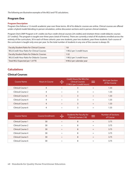*The following are illustrative examples of the WLU and FTE calculations.*

## **Program One**

#### **Program Description**

Program One follows a 12-month academic year over three terms. All of its didactic courses are online. Clinical courses are offered under a hybrid model blending in-person simulation, online discussion sections and in-person clinical rotations.

Program One's DNP Program is 81 credits (six four-credit clinical courses [24 credits] and nineteen three-credit didactic courses [57 credits]). The program is taught over three years (total of 9 terms). There are currently a total of 90 students enrolled across the entirety of the curriculum, 30 in each of three cohorts: year one students, year two students, year three students. Each course of the curriculum is taught only once per year. So the total number of students in any one of the courses is always 30.

| <b>Faculty: Student Ratio for Clinical Courses</b> | 1:8                      |
|----------------------------------------------------|--------------------------|
| <b>WLU:Credit Hour Ratio for Clinical Courses</b>  | 1 WLU per 3 credit hours |
| Faculty: Student Ratio for Didactic Courses        | 1:32                     |
| <b>WLU:Credit Hour Ratio for Didactic Courses</b>  | 1 WLU per 3 credit hours |
| Total WLU Expected per 1.0 FTE                     | 9 WLU per calendar year  |

## **Calculations**

## **Clinical Courses**

| <b>Course Name</b>       | <b>Hours in Course</b> | ٠      | <b>Credit Hours Per WLU for</b><br><b>Clinical Courses</b><br>(1 WLU per 3 credit hours) | <b>WLU</b> per Section<br>of the Course |
|--------------------------|------------------------|--------|------------------------------------------------------------------------------------------|-----------------------------------------|
| <b>Clinical Course 1</b> | 4                      | $\div$ |                                                                                          | 1.33                                    |
| Clinical Course 2        | 4                      | $\div$ |                                                                                          | 1.33                                    |
| Clinical Course 3        | 4                      | $\div$ |                                                                                          | 1.33                                    |
| Clinical Course 4        | 4                      | $\div$ |                                                                                          | 1.33                                    |
| Clinical Course 5        | $\overline{4}$         | $\div$ |                                                                                          | 1.33                                    |
| Clinical Course 6        |                        | ÷      |                                                                                          | 1.33                                    |

| Course Name              | <b>Course Enrollment</b> | $\bullet$<br>$\bullet$ | <b>Students Per Faculty for</b><br><b>Clinical Courses (1:8)</b> | المستد<br>$-$ | <b>Number of Sections</b><br>of Course |
|--------------------------|--------------------------|------------------------|------------------------------------------------------------------|---------------|----------------------------------------|
| <b>Clinical Course 1</b> | 30                       | $\div$                 | 8                                                                | $=$           | 3.75                                   |
| Clinical Course 2        | 30                       | ÷                      | 8                                                                | $=$           | 3.75                                   |
| Clinical Course 3        | 30                       | $\div$                 | 8                                                                | $=$           | 3.75                                   |
| Clinical Course 4        | 30                       | $\div$                 | 8                                                                | $=$           | 3.75                                   |
| Clinical Course 5        | 30                       | $\div$                 | 8                                                                | $=$           | 3.75                                   |
| Clinical Course 6        | 30                       | ÷                      | 8                                                                |               | 3.75                                   |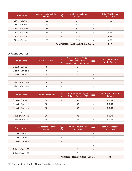| <b>Course Name</b> | WLU per section of the<br>course                 |        | <b>Number of Sections</b><br>of Course |     | <b>Total WLU Needed</b><br>for Course |  |  |
|--------------------|--------------------------------------------------|--------|----------------------------------------|-----|---------------------------------------|--|--|
| Clinical Course 1  | 1.33                                             | $\div$ | 3.75                                   | $=$ | 4.99                                  |  |  |
| Clinical Course 2  | 1.33                                             | $\div$ | 3.75                                   | $=$ | 4.99                                  |  |  |
| Clinical Course 3  | 1.33                                             | $\div$ | 3.75                                   | $=$ | 4.99                                  |  |  |
| Clinical Course 4  | 1.33                                             | $\div$ | 3.75                                   | $=$ | 4.99                                  |  |  |
| Clinical Course 5  | 1.33                                             | $\div$ | 3.75                                   | $=$ | 4.99                                  |  |  |
| Clinical Course 6  | 1.33                                             | $\div$ | 3.75                                   | $=$ | 4.99                                  |  |  |
|                    | <b>Total WLU Needed for All Clinical Courses</b> |        |                                        |     |                                       |  |  |

## **Didactic Courses**

| <b>Course Name</b> | <b>Hours in Course</b> | ٠      | <b>Credit Hours Per WLU for</b><br><b>Didactic Courses</b><br>(1 WLU per 3 credit hours) | <b>WLU</b> per Section<br>of the Course |
|--------------------|------------------------|--------|------------------------------------------------------------------------------------------|-----------------------------------------|
| Didactic Course 1  |                        | $\div$ |                                                                                          |                                         |
| Didactic Course 2  |                        | $\div$ |                                                                                          |                                         |
| Didactic Course 3  |                        | $\div$ |                                                                                          |                                         |
| $\cdots$           |                        | $\div$ |                                                                                          |                                         |
| Didactic Course 18 |                        | $\div$ |                                                                                          |                                         |
| Didactic Course 19 |                        | ÷      |                                                                                          |                                         |

| <b>Course Name</b> | <b>Course Enrollment</b> | $\bullet$<br>$\overline{\phantom{a}}$ | <b>Students Per Faculty for</b><br><b>Didactic Courses (1:32)</b> | ______ | <b>Number of Sections</b><br>of Course |
|--------------------|--------------------------|---------------------------------------|-------------------------------------------------------------------|--------|----------------------------------------|
| Didactic Course 1  | 30                       | $\div$                                | 32                                                                |        | 1(0.94)                                |
| Didactic Course 2  | 30                       | ÷                                     | 32                                                                |        | 1(0.94)                                |
| Didactic Course 3  | 30                       | $\div$                                | 32                                                                |        | 1(0.94)                                |
| $\cdots$           |                          | ÷                                     |                                                                   |        |                                        |
| Didactic Course 18 | 30                       | $\div$                                | 32                                                                |        | 1(0.94)                                |
| Didactic Course 19 | 30                       | ÷                                     | 32                                                                |        | 1 (0.94)                               |

| <b>Course Name</b> | WLU per section of the<br>course |        | <b>Number of Sections</b><br>of Course |     | <b>Total WLU Needed</b><br>for Course |
|--------------------|----------------------------------|--------|----------------------------------------|-----|---------------------------------------|
| Didactic Course 1  |                                  | $\div$ |                                        |     |                                       |
| Didactic Course 2  |                                  | $\div$ |                                        |     |                                       |
| Didactic Course 3  |                                  | $\div$ |                                        | $=$ |                                       |
| $\cdots$           |                                  | ÷      |                                        |     |                                       |
| Didactic Course 18 |                                  | $\div$ |                                        |     |                                       |
| Didactic Course 19 |                                  | $\div$ |                                        |     |                                       |
|                    | 19                               |        |                                        |     |                                       |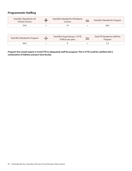## **Programmatic Staffing**

| <b>Total WLU Needed for All</b><br><b>Clinical Courses</b> |                        | Total WLU Needed for All Didactic<br>Courses        |     | Total WLU Needed for Program             |
|------------------------------------------------------------|------------------------|-----------------------------------------------------|-----|------------------------------------------|
| 29.9                                                       |                        | 19                                                  | $=$ | 48.9                                     |
|                                                            |                        |                                                     |     |                                          |
| Total WLU Needed for Program                               | $\bullet$<br>$\bullet$ | Total WLU Expected per 1.0 FTE<br>(9 WLUs per year) |     | Total FTE Needed to Staff the<br>Program |
| 48.9                                                       | ÷                      | 9                                                   |     | 5.4                                      |

**Program One would require 5.4 total FTE to adequately staff the program. This 5.4 FTE could be satisfied with a combination of fulltime and part-time faculty.**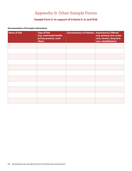# Appendix G: Other Sample Forms

## **Sample Form C: In support of Criteria II. G. and IV.B.**

#### <span id="page-51-0"></span>**Documentation of Preceptor Information**

| <b>Name of Site</b> | <b>Type of Site</b><br>(e.g. community health,<br>private practice, rural<br>clinic) | Characteristics of Patients   Experience(s) Offered | (e.g. primary care, acute<br>care, chronic, long term<br>care, rehabilitation) |
|---------------------|--------------------------------------------------------------------------------------|-----------------------------------------------------|--------------------------------------------------------------------------------|
|                     |                                                                                      |                                                     |                                                                                |
|                     |                                                                                      |                                                     |                                                                                |
|                     |                                                                                      |                                                     |                                                                                |
|                     |                                                                                      |                                                     |                                                                                |
|                     |                                                                                      |                                                     |                                                                                |
|                     |                                                                                      |                                                     |                                                                                |
|                     |                                                                                      |                                                     |                                                                                |
|                     |                                                                                      |                                                     |                                                                                |
|                     |                                                                                      |                                                     |                                                                                |
|                     |                                                                                      |                                                     |                                                                                |
|                     |                                                                                      |                                                     |                                                                                |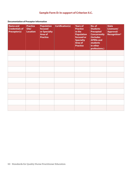## **Sample Form D: In support of Criterion II.C.**

### <span id="page-52-0"></span>**Documentation of Preceptor Information**

| <b>Name and</b><br><b>Credentials of</b><br><b>Preceptor(s)</b> | <b>Practice</b><br>Site/<br><b>Location</b> | <b>Population</b><br>focused<br>or Specialty<br><b>Area of</b><br><b>Practice</b> | <b>Certification(s)</b> | <b>Years of</b><br><b>Practice</b><br>in the<br><b>Population</b><br>focused or<br><b>Specialty</b><br><b>Area of</b><br><b>Practice</b> | No. of<br><b>Students</b><br><b>Precepted</b><br><b>Concurrently</b><br>(Includes<br><b>APRNs and</b><br><b>students</b><br>in other<br>professions.) | <b>State</b><br>Licensure/<br><b>Approval/</b><br><b>Recognition*</b> |
|-----------------------------------------------------------------|---------------------------------------------|-----------------------------------------------------------------------------------|-------------------------|------------------------------------------------------------------------------------------------------------------------------------------|-------------------------------------------------------------------------------------------------------------------------------------------------------|-----------------------------------------------------------------------|
|                                                                 |                                             |                                                                                   |                         |                                                                                                                                          |                                                                                                                                                       |                                                                       |
|                                                                 |                                             |                                                                                   |                         |                                                                                                                                          |                                                                                                                                                       |                                                                       |
|                                                                 |                                             |                                                                                   |                         |                                                                                                                                          |                                                                                                                                                       |                                                                       |
|                                                                 |                                             |                                                                                   |                         |                                                                                                                                          |                                                                                                                                                       |                                                                       |
|                                                                 |                                             |                                                                                   |                         |                                                                                                                                          |                                                                                                                                                       |                                                                       |
|                                                                 |                                             |                                                                                   |                         |                                                                                                                                          |                                                                                                                                                       |                                                                       |
|                                                                 |                                             |                                                                                   |                         |                                                                                                                                          |                                                                                                                                                       |                                                                       |
|                                                                 |                                             |                                                                                   |                         |                                                                                                                                          |                                                                                                                                                       |                                                                       |
|                                                                 |                                             |                                                                                   |                         |                                                                                                                                          |                                                                                                                                                       |                                                                       |
|                                                                 |                                             |                                                                                   |                         |                                                                                                                                          |                                                                                                                                                       |                                                                       |
|                                                                 |                                             |                                                                                   |                         |                                                                                                                                          |                                                                                                                                                       |                                                                       |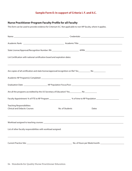## **Sample Form E: In support of Criteria I. F. and II.C.**

## <span id="page-53-0"></span>**Nurse Practitioner Program Faculty Profile for all Faculty**

This form can be used to provide evidence for Criterium II.C. Not applicable to non-NP faculty, where it applies.

| List Certification with national certification board and expiration dates:                                        |                 |       |
|-------------------------------------------------------------------------------------------------------------------|-----------------|-------|
| Are copies of all certification and state license/approval/recognition on file? Yes_______________ No ___________ |                 |       |
|                                                                                                                   |                 |       |
|                                                                                                                   |                 |       |
| Are all the programs accredited by the US Secretary of Education? Yes_______________ No ____________              |                 |       |
| Faculty Appointment: % of FTE to NP Program _____________________ % of time to NP Population _________________    |                 |       |
| Teaching Responsibilities:<br><b>Clinical and Didactic Courses</b>                                                | No. of Students | Dates |
|                                                                                                                   |                 |       |
| List of other faculty responsibilities with workload assigned:                                                    |                 |       |
|                                                                                                                   |                 |       |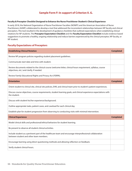## **Sample Form F: In support of Criterion II. G.**

#### <span id="page-54-0"></span>**Faculty & Preceptor Checklist Designed to Enhance the Nurse Practitioner Student's Clinical Experience**

In early 2018, the National Organization of Nurse Practitioner Faculties (NONPF) and the American Association of Nurse Practitioners (AANP) collaborated to develop a tool that addressed the inconsistent relationships between NP faculty and clinical preceptors. This tool resulted in the development of guidance checklists that outlined expectations when establishing clinical rotations for NP students. The **Preceptor Expectation Checklist** and the **Faculty Expectation Checklist** include evidence-based suggestions to promote a healthy, ongoing relationship and reduce barriers experienced by the clinical preceptor, NP faculty, or NP student.

#### **Faculty Expectations of Preceptors**

| <b>Establishing Clinical Rotation</b>                                                                                                                      | <b>Completed</b> |
|------------------------------------------------------------------------------------------------------------------------------------------------------------|------------------|
| Review NP program policies regarding student placement guidelines.                                                                                         |                  |
| Communicate start date and time with student.                                                                                                              |                  |
| Review documents related to the clinical course (welcome letter, clinical hours requirement, syllabus, course<br>objectives, etc.) and clarify, if needed. |                  |
| Review Family Educational Rights and Privacy Act (FERPA).                                                                                                  |                  |
| <b>Orientation</b>                                                                                                                                         | <b>Completed</b> |
| Orient student to clinical site, clinical site policies, EHR, and clinical team prior to student's patient experiences.                                    |                  |
| Discuss course objectives, course requirements, student learning goals, and clinical experience expectations with<br>the student.                          |                  |
| Discuss with student his/her experience/background.                                                                                                        |                  |
| Outline appropriate tasks, patient cases, and caseload for each clinical day.                                                                              |                  |
| Establish plan for student progression from observing to conducting visits with minimal intervention.                                                      |                  |
| <b>Clinical Experience</b>                                                                                                                                 | <b>Completed</b> |
| Model clinical skills and professional/ethical behaviors for student learning.                                                                             |                  |
| Be present to observe all student clinical activities.                                                                                                     |                  |
| Include student as a pertinent part of the healthcare team and encourage interprofessional collaboration<br>between student and other team members.        |                  |
| Encourage learning using direct questioning methods and allowing reflection on feedback.                                                                   |                  |
| Verify student clinical hours.                                                                                                                             |                  |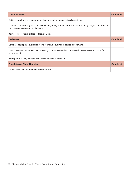| <b>Communication</b>                                                                                                                                 | <b>Completed</b> |
|------------------------------------------------------------------------------------------------------------------------------------------------------|------------------|
| Guide, counsel, and encourage active student learning through clinical experiences.                                                                  |                  |
| Communicate to faculty pertinent feedback regarding student performance and learning progression related to<br>course expectations and requirements. |                  |
| Be available for virtual or face-to-face site visits.                                                                                                |                  |
| <b>Evaluation</b>                                                                                                                                    | <b>Completed</b> |
| Complete appropriate evaluation forms at intervals outlined in course requirements.                                                                  |                  |
| Discuss evaluation(s) with student providing constructive feedback on strengths, weaknesses, and plans for<br>improvement.                           |                  |
| Participate in faculty-initiated plans of remediation, if necessary.                                                                                 |                  |
| <b>Completion of Clinical Rotation</b>                                                                                                               | <b>Completed</b> |
| Submit all documents as outlined in the course.                                                                                                      |                  |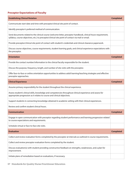## **Preceptor Expectations of Faculty**

| <b>Establishing Clinical Rotation</b>                                                                                                                                                                               | <b>Completed</b> |
|---------------------------------------------------------------------------------------------------------------------------------------------------------------------------------------------------------------------|------------------|
| Communicate start date and time with preceptor/clinical site point of contact.                                                                                                                                      |                  |
| Identify preceptor's preferred method of communication.                                                                                                                                                             |                  |
| Send documents related to the clinical course (welcome letter, preceptor handbook, clinical hours requirement,<br>syllabus, course objectives, etc.) to preceptor/clinical site point of contact via mail or email. |                  |
| Provide preceptor/clinical site point of contact with student's credentials and clinical clearance paperwork.                                                                                                       |                  |
| Discuss course objectives, course requirements, student learning goals, and clinical experience expectations with<br>the preceptor.                                                                                 |                  |
| <b>Orientation</b>                                                                                                                                                                                                  | <b>Completed</b> |
| Provide the contact number/information to the clinical faculty responsible for the student.                                                                                                                         |                  |
| Discuss the purpose, frequency, length, and number of site visits with the preceptor.                                                                                                                               |                  |
| Offer face-to-face or online orientation opportunities to address adult learning/teaching strategies and effective<br>preceptor approaches.                                                                         |                  |
| <b>Clinical Experience</b>                                                                                                                                                                                          | <b>Completed</b> |
| Assume primary responsibility for the student throughout the clinical experience.                                                                                                                                   |                  |
| Assess student's clinical skills, knowledge and competencies throughout clinical experience and assess for<br>appropriate progression as it relates to course and clinical objectives.                              |                  |
| Support students in connecting knowledge obtained in academic setting with their clinical experiences.                                                                                                              |                  |
| Review and confirm student clinical hours.                                                                                                                                                                          |                  |
| Communication                                                                                                                                                                                                       | <b>Completed</b> |
| Engage in open communication with preceptor regarding student performance and learning progression related<br>to course expectations and requirements.                                                              |                  |
| Schedule virtual or face-to-face site visits.                                                                                                                                                                       |                  |
| <b>Evaluation</b>                                                                                                                                                                                                   | <b>Completed</b> |
| Collect and review evaluation forms completed by the preceptor at intervals as outlined in course requirements.                                                                                                     |                  |
| Collect and review preceptor evaluation forms completed by the student.                                                                                                                                             |                  |
| Discuss evaluation(s) with student providing constructive feedback on strengths, weaknesses, and a plan for<br>improvement.                                                                                         |                  |
| Initiate plans of remediation based on evaluations, if necessary.                                                                                                                                                   |                  |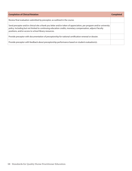| <b>Completion of Clinical Rotation</b>                                                                                                                                                                                                                                                   | <b>Completed</b> |
|------------------------------------------------------------------------------------------------------------------------------------------------------------------------------------------------------------------------------------------------------------------------------------------|------------------|
| Review final evaluation submitted by preceptor, as outlined in the course.                                                                                                                                                                                                               |                  |
| Send preceptor and/or clinical site a thank you letter and/or token of appreciation, per program and/or university<br>policy. Including but not limited to continuing education credits, monetary compensation, adjunct faculty<br>positions, and/or access to school library resources. |                  |
| Provide preceptor with documentation of preceptorship for national certification renewal or dossier.                                                                                                                                                                                     |                  |
| Provide preceptor with feedback about preceptorship performance based on student evaluation(s).                                                                                                                                                                                          |                  |